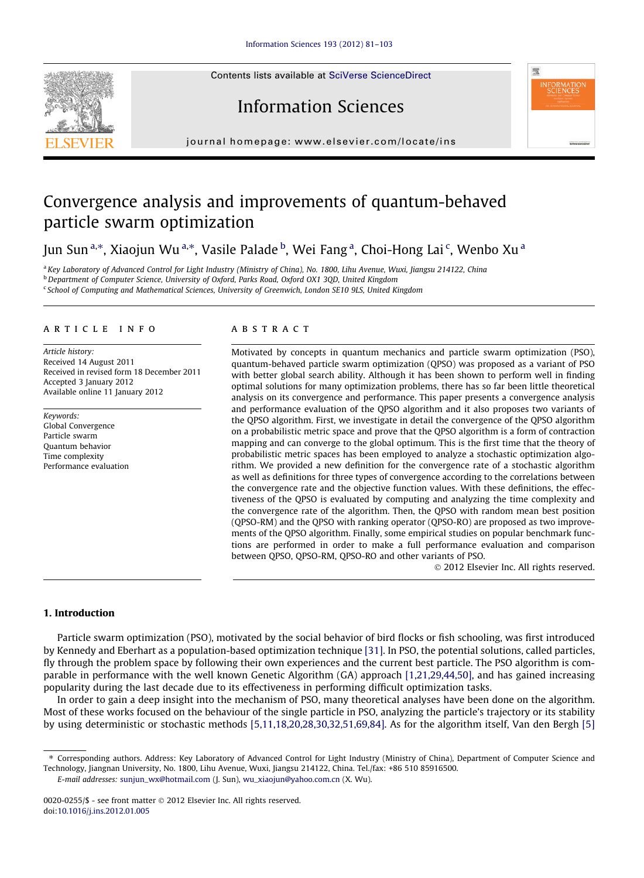Contents lists available at [SciVerse ScienceDirect](http://www.sciencedirect.com/science/journal/00200255)







journal homepage: [www.elsevier.com/locate/ins](http://www.elsevier.com/locate/ins)

# Convergence analysis and improvements of quantum-behaved particle swarm optimization

Jun Sun<sup>a,</sup>\*, Xiaojun Wu<sup>a,</sup>\*, Vasile Palade <sup>b</sup>, Wei Fang <sup>a</sup>, Choi-Hong Lai <sup>c</sup>, Wenbo Xu <sup>a</sup>

<sup>a</sup> Key Laboratory of Advanced Control for Light Industry (Ministry of China), No. 1800, Lihu Avenue, Wuxi, Jiangsu 214122, China b<br>b Department of Computer Science, University of Oxford, Parks Road, Oxford OX1 3QD, United Kingdom <sup>c</sup> School of Computing and Mathematical Sciences, University of Greenwich, London SE10 9LS, United Kingdom

# article info

Article history: Received 14 August 2011 Received in revised form 18 December 2011 Accepted 3 January 2012 Available online 11 January 2012

Keywords: Global Convergence Particle swarm Quantum behavior Time complexity Performance evaluation

# **ABSTRACT**

Motivated by concepts in quantum mechanics and particle swarm optimization (PSO), quantum-behaved particle swarm optimization (QPSO) was proposed as a variant of PSO with better global search ability. Although it has been shown to perform well in finding optimal solutions for many optimization problems, there has so far been little theoretical analysis on its convergence and performance. This paper presents a convergence analysis and performance evaluation of the QPSO algorithm and it also proposes two variants of the QPSO algorithm. First, we investigate in detail the convergence of the QPSO algorithm on a probabilistic metric space and prove that the QPSO algorithm is a form of contraction mapping and can converge to the global optimum. This is the first time that the theory of probabilistic metric spaces has been employed to analyze a stochastic optimization algorithm. We provided a new definition for the convergence rate of a stochastic algorithm as well as definitions for three types of convergence according to the correlations between the convergence rate and the objective function values. With these definitions, the effectiveness of the QPSO is evaluated by computing and analyzing the time complexity and the convergence rate of the algorithm. Then, the QPSO with random mean best position (QPSO-RM) and the QPSO with ranking operator (QPSO-RO) are proposed as two improvements of the QPSO algorithm. Finally, some empirical studies on popular benchmark functions are performed in order to make a full performance evaluation and comparison between QPSO, QPSO-RM, QPSO-RO and other variants of PSO.

- 2012 Elsevier Inc. All rights reserved.

# 1. Introduction

Particle swarm optimization (PSO), motivated by the social behavior of bird flocks or fish schooling, was first introduced by Kennedy and Eberhart as a population-based optimization technique [\[31\].](#page-21-0) In PSO, the potential solutions, called particles, fly through the problem space by following their own experiences and the current best particle. The PSO algorithm is comparable in performance with the well known Genetic Algorithm (GA) approach [\[1,21,29,44,50\]](#page-20-0), and has gained increasing popularity during the last decade due to its effectiveness in performing difficult optimization tasks.

In order to gain a deep insight into the mechanism of PSO, many theoretical analyses have been done on the algorithm. Most of these works focused on the behaviour of the single particle in PSO, analyzing the particle's trajectory or its stability by using deterministic or stochastic methods [\[5,11,18,20,28,30,32,51,69,84\]](#page-20-0). As for the algorithm itself, Van den Bergh [\[5\]](#page-20-0)

E-mail addresses: [sunjun\\_wx@hotmail.com](mailto:sunjun_wx@hotmail.com) (J. Sun), [wu\\_xiaojun@yahoo.com.cn](mailto:wu_xiaojun@yahoo.com.cn) (X. Wu).

<sup>⇑</sup> Corresponding authors. Address: Key Laboratory of Advanced Control for Light Industry (Ministry of China), Department of Computer Science and Technology, Jiangnan University, No. 1800, Lihu Avenue, Wuxi, Jiangsu 214122, China. Tel./fax: +86 510 85916500.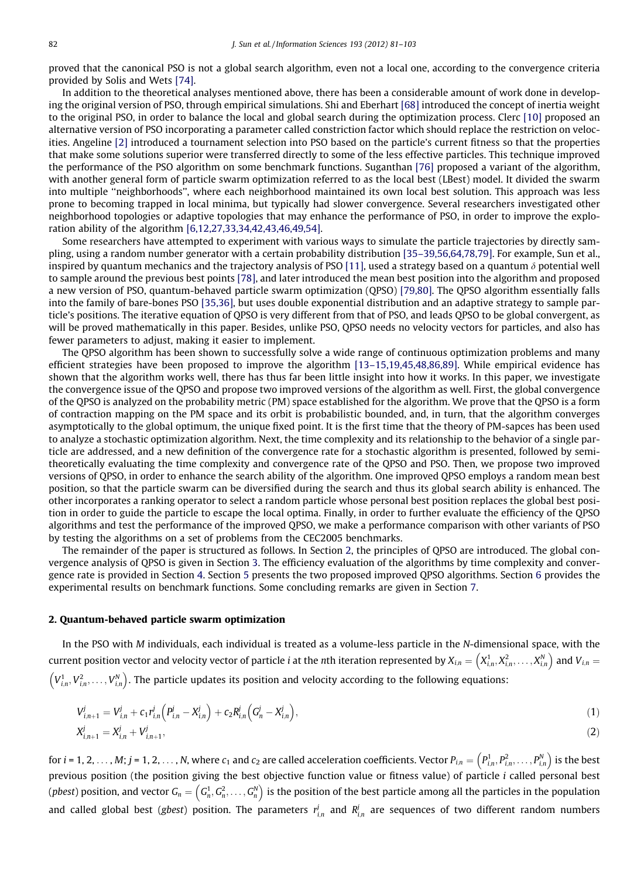proved that the canonical PSO is not a global search algorithm, even not a local one, according to the convergence criteria provided by Solis and Wets [\[74\].](#page-22-0)

In addition to the theoretical analyses mentioned above, there has been a considerable amount of work done in developing the original version of PSO, through empirical simulations. Shi and Eberhart [\[68\]](#page-22-0) introduced the concept of inertia weight to the original PSO, in order to balance the local and global search during the optimization process. Clerc [\[10\]](#page-20-0) proposed an alternative version of PSO incorporating a parameter called constriction factor which should replace the restriction on velocities. Angeline [\[2\]](#page-20-0) introduced a tournament selection into PSO based on the particle's current fitness so that the properties that make some solutions superior were transferred directly to some of the less effective particles. This technique improved the performance of the PSO algorithm on some benchmark functions. Suganthan [\[76\]](#page-22-0) proposed a variant of the algorithm, with another general form of particle swarm optimization referred to as the local best (LBest) model. It divided the swarm into multiple ''neighborhoods'', where each neighborhood maintained its own local best solution. This approach was less prone to becoming trapped in local minima, but typically had slower convergence. Several researchers investigated other neighborhood topologies or adaptive topologies that may enhance the performance of PSO, in order to improve the exploration ability of the algorithm [\[6,12,27,33,34,42,43,46,49,54\]](#page-20-0).

Some researchers have attempted to experiment with various ways to simulate the particle trajectories by directly sampling, using a random number generator with a certain probability distribution [\[35–39,56,64,78,79\]](#page-21-0). For example, Sun et al., inspired by quantum mechanics and the trajectory analysis of PSO [\[11\],](#page-20-0) used a strategy based on a quantum  $\delta$  potential well to sample around the previous best points [\[78\]](#page-22-0), and later introduced the mean best position into the algorithm and proposed a new version of PSO, quantum-behaved particle swarm optimization (QPSO) [\[79,80\]](#page-22-0). The QPSO algorithm essentially falls into the family of bare-bones PSO [\[35,36\]](#page-21-0), but uses double exponential distribution and an adaptive strategy to sample particle's positions. The iterative equation of QPSO is very different from that of PSO, and leads QPSO to be global convergent, as will be proved mathematically in this paper. Besides, unlike PSO, QPSO needs no velocity vectors for particles, and also has fewer parameters to adjust, making it easier to implement.

The QPSO algorithm has been shown to successfully solve a wide range of continuous optimization problems and many efficient strategies have been proposed to improve the algorithm [\[13–15,19,45,48,86,89\].](#page-20-0) While empirical evidence has shown that the algorithm works well, there has thus far been little insight into how it works. In this paper, we investigate the convergence issue of the QPSO and propose two improved versions of the algorithm as well. First, the global convergence of the QPSO is analyzed on the probability metric (PM) space established for the algorithm. We prove that the QPSO is a form of contraction mapping on the PM space and its orbit is probabilistic bounded, and, in turn, that the algorithm converges asymptotically to the global optimum, the unique fixed point. It is the first time that the theory of PM-sapces has been used to analyze a stochastic optimization algorithm. Next, the time complexity and its relationship to the behavior of a single particle are addressed, and a new definition of the convergence rate for a stochastic algorithm is presented, followed by semitheoretically evaluating the time complexity and convergence rate of the QPSO and PSO. Then, we propose two improved versions of QPSO, in order to enhance the search ability of the algorithm. One improved QPSO employs a random mean best position, so that the particle swarm can be diversified during the search and thus its global search ability is enhanced. The other incorporates a ranking operator to select a random particle whose personal best position replaces the global best position in order to guide the particle to escape the local optima. Finally, in order to further evaluate the efficiency of the QPSO algorithms and test the performance of the improved QPSO, we make a performance comparison with other variants of PSO by testing the algorithms on a set of problems from the CEC2005 benchmarks.

The remainder of the paper is structured as follows. In Section 2, the principles of QPSO are introduced. The global convergence analysis of QPSO is given in Section 3. The efficiency evaluation of the algorithms by time complexity and convergence rate is provided in Section 4. Section 5 presents the two proposed improved QPSO algorithms. Section 6 provides the experimental results on benchmark functions. Some concluding remarks are given in Section 7.

## 2. Quantum-behaved particle swarm optimization

In the PSO with M individuals, each individual is treated as a volume-less particle in the N-dimensional space, with the current position vector and velocity vector of particle  $i$  at the  $n$ th iteration represented by  $X_{i,n}=\left(X^1_{i,n},X^2_{i,n},\ldots,X^N_{i,n}\right)$  $(X_{i,n}^1, X_{i,n}^2, \ldots, X_{i,n}^N)$  and  $V_{i,n} =$  $V_{i,n}^1, V_{i,n}^2, \ldots, V_{i,n}^N$  $(V_{i,n}^1, V_{i,n}^2, \ldots, V_{i,n}^N)$ . The particle updates its position and velocity according to the following equations:

$$
V_{i,n+1}^j = V_{i,n}^j + c_1 r_{i,n}^j \left( P_{i,n}^j - X_{i,n}^j \right) + c_2 R_{i,n}^j \left( G_n^j - X_{i,n}^j \right),\tag{1}
$$
  

$$
X_{i,n+1}^j = X_{i,n}^j + V_{i,n+1}^j,\tag{2}
$$

for  $i$  = 1, 2,  $\dots$  , M;  $j$  = 1, 2,  $\dots$  , N, where  $c_1$  and  $c_2$  are called acceleration coefficients. Vector  $P_{i,n}=\left(P^1_{i,n},P^2_{i,n},\dots,P^N_{i,n}\right)$  $\left(P_{i,n}^1, P_{i,n}^2, \ldots, P_{i,n}^N\right)$  is the best previous position (the position giving the best objective function value or fitness value) of particle i called personal best (pbest) position, and vector  $G_n = \left( \emph{G}_{n}^{1}, \emph{G}_{n}^{2}, \ldots, \emph{G}_{n}^{N} \right)$  $\left(G_n^1, G_n^2, \ldots, G_n^N\right)$  is the position of the best particle among all the particles in the population and called global best (gbest) position. The parameters  $r_{i,n}^j$  and  $R_{i,n}^j$  are sequences of two different random numbers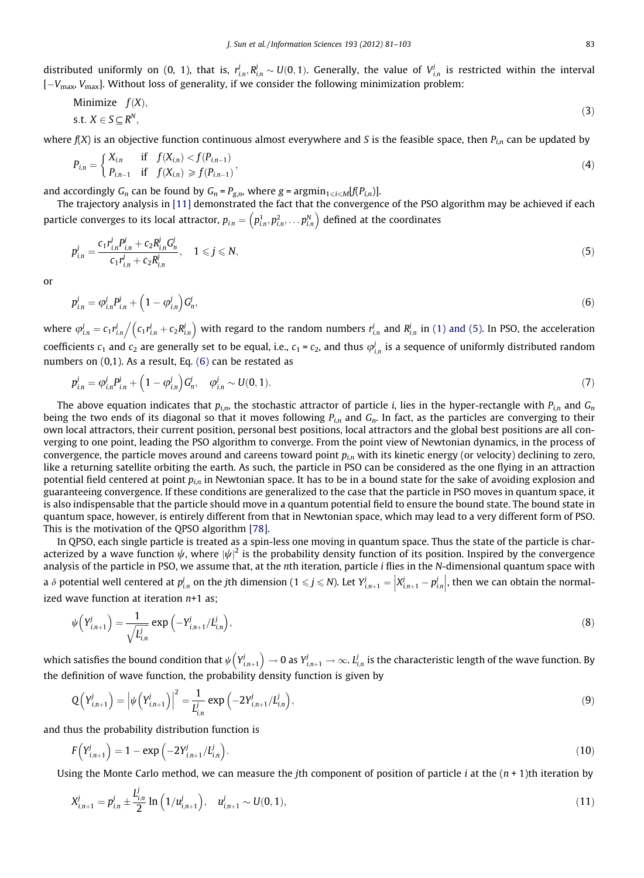<span id="page-2-0"></span>distributed uniformly on (0, 1), that is,  $r_{i,n}^j R_{i,n}^j \sim U(0,1)$ . Generally, the value of  $V_{i,n}^j$  is restricted within the interval [ $-V_{\rm max}$ ,  $V_{\rm max}$ ]. Without loss of generality, if we consider the following minimization problem:

Minimize 
$$
f(X)
$$
,  
s.t.  $X \in S \subseteq R^N$ , (3)

where  $f(X)$  is an objective function continuous almost everywhere and S is the feasible space, then  $P_{in}$  can be updated by

$$
P_{i,n} = \begin{cases} X_{i,n} & \text{if } f(X_{i,n}) < f(P_{i,n-1}) \\ P_{i,n-1} & \text{if } f(X_{i,n}) \ge f(P_{i,n-1}) \end{cases}
$$
 (4)

and accordingly  $G_n$  can be found by  $G_n = P_{g,n}$ , where  $g = \text{argmin}_{1 \le i \le M}[f(P_{i,n})]$ .

The trajectory analysis in [\[11\]](#page-20-0) demonstrated the fact that the convergence of the PSO algorithm may be achieved if each particle converges to its local attractor,  $p_{i,n}=\left( p_{i,n}^{1},p_{i,n}^{2},\ldots p_{i,n}^{N}\right)$  $\left(p_{i_n}^1, p_{i_n}^2, \ldots, p_{i_n}^N\right)$  defined at the coordinates

$$
p_{i,n}^j = \frac{c_1 r_{i,n}^j P_{i,n}^j + c_2 R_{i,n}^j G_n^j}{c_1 r_{i,n}^j + c_2 R_{i,n}^j}, \quad 1 \le j \le N,
$$
\n<sup>(5)</sup>

or

$$
p_{i,n}^j = \varphi_{i,n}^j P_{i,n}^j + \left(1 - \varphi_{i,n}^j\right) G_n^j,
$$
\n(6)

where  $\varphi^{j}_{i,n} = c_1 r^{j}_{i,n} \Big/ \big( c_1 r^{j}_{i,n} + c_2 R^{j}_{i,n} \big)$  $/(c_1 r^j_{i,n} + c_2 R^j_{i,n})$  with regard to the random numbers  $r^j_{i,n}$  and  $R^j_{i,n}$  in (1) and (5). In PSO, the acceleration coefficients  $c_1$  and  $c_2$  are generally set to be equal, i.e.,  $c_1$  =  $c_2$ , and thus  $\varphi^j_{i,n}$  is a sequence of uniformly distributed random numbers on (0,1). As a result, Eq. (6) can be restated as

$$
p_{i,n}^j = \varphi_{i,n}^j p_{i,n}^j + \left(1 - \varphi_{i,n}^j\right) G_n^j, \quad \varphi_{i,n}^j \sim U(0,1).
$$
\n(7)

The above equation indicates that  $p_{i,n}$ , the stochastic attractor of particle *i*, lies in the hyper-rectangle with  $P_{i,n}$  and  $G_n$ being the two ends of its diagonal so that it moves following  $P_{in}$  and  $G_n$ . In fact, as the particles are converging to their own local attractors, their current position, personal best positions, local attractors and the global best positions are all converging to one point, leading the PSO algorithm to converge. From the point view of Newtonian dynamics, in the process of convergence, the particle moves around and careens toward point  $p_{in}$  with its kinetic energy (or velocity) declining to zero, like a returning satellite orbiting the earth. As such, the particle in PSO can be considered as the one flying in an attraction potential field centered at point  $p_{in}$  in Newtonian space. It has to be in a bound state for the sake of avoiding explosion and guaranteeing convergence. If these conditions are generalized to the case that the particle in PSO moves in quantum space, it is also indispensable that the particle should move in a quantum potential field to ensure the bound state. The bound state in quantum space, however, is entirely different from that in Newtonian space, which may lead to a very different form of PSO. This is the motivation of the QPSO algorithm [\[78\]](#page-22-0).

In QPSO, each single particle is treated as a spin-less one moving in quantum space. Thus the state of the particle is characterized by a wave function  $\psi$ , where  $|\psi|^2$  is the probability density function of its position. Inspired by the convergence analysis of the particle in PSO, we assume that, at the nth iteration, particle *i* flies in the N-dimensional quantum space with a  $\delta$  potential well centered at  $p_{i,n}^j$  on the jth dimension (  $1\leqslant j\leqslant N$  ). Let  $Y_{i,n+1}^j=\left|X_{i,n+1}^j-p_{i,n}^j\right|$  $\overline{\mathbb{I}}$  , then we can obtain the normalized wave function at iteration  $n+1$  as;

$$
\psi\left(Y_{i,n+1}^j\right) = \frac{1}{\sqrt{L_{i,n}^j}} \exp\left(-Y_{i,n+1}^j / L_{i,n}^j\right),\tag{8}
$$

which satisfies the bound condition that  $\psi\big(Y^j_{i,n+1}\big)$  $\left(Y^j_{i,n+1}\right)\to 0$  as  $Y^j_{i,n+1}\to \infty$ .  $L^j_{i,n}$  is the characteristic length of the wave function. By the definition of wave function, the probability density function is given by

$$
Q(Y_{i,n+1}^j) = |\psi(Y_{i,n+1}^j)|^2 = \frac{1}{L_{i,n}^j} \exp(-2Y_{i,n+1}^j/L_{i,n}^j),
$$
\n(9)

and thus the probability distribution function is

$$
F(Y_{i,n+1}^j) = 1 - \exp\left(-2Y_{i,n+1}^j / L_{i,n}^j\right).
$$
 (10)

Using the Monte Carlo method, we can measure the *j*th component of position of particle *i* at the  $(n + 1)$ th iteration by

$$
X_{i,n+1}^j = p_{i,n}^j \pm \frac{L_{i,n}^j}{2} \ln \left( 1/u_{i,n+1}^j \right), \quad u_{i,n+1}^j \sim U(0,1), \tag{11}
$$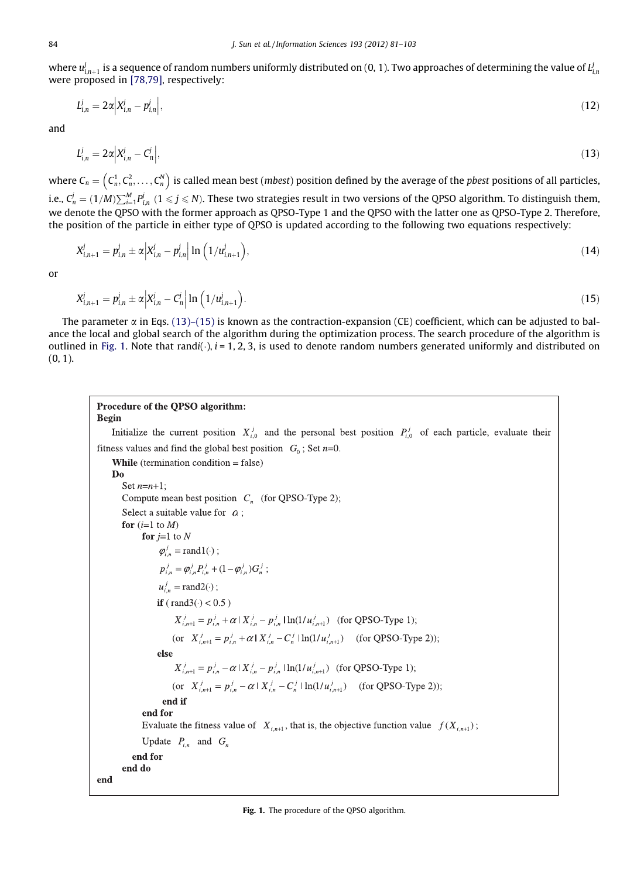<span id="page-3-0"></span>where  $u^j_{i,n+1}$  is a sequence of random numbers uniformly distributed on (0, 1). Two approaches of determining the value of  $l^j_{i,n}$ were proposed in [\[78,79\]](#page-22-0), respectively:

$$
L_{i,n}^{j} = 2\alpha \Big| X_{i,n}^{j} - p_{i,n}^{j} \Big|, \tag{12}
$$

and

$$
L_{i,n}^j = 2\alpha \Big| X_{i,n}^j - C_n^j \Big|,\tag{13}
$$

where  $\mathcal{C}_n = \left( \mathcal{C}_n^1, \mathcal{C}_n^2, \ldots, \mathcal{C}_n^N \right)$  $(c_n^1, c_n^2, \ldots, c_n^N)$  is called mean best (*mbest*) position defined by the average of the *pbest* positions of all particles, i.e.,  $C_n^j=(1/M)\sum_{i=1}^MP_{i,n}^j\ (1\leqslant j\leqslant N).$  These two strategies result in two versions of the QPSO algorithm. To distinguish them, we denote the QPSO with the former approach as QPSO-Type 1 and the QPSO with the latter one as QPSO-Type 2. Therefore, the position of the particle in either type of QPSO is updated according to the following two equations respectively:

$$
X_{i,n+1}^j = p_{i,n}^j \pm \alpha \Big| X_{i,n}^j - p_{i,n}^j \Big| \ln \Big( 1/u_{i,n+1}^j \Big), \tag{14}
$$

or

$$
X_{i,n+1}^j = p_{i,n}^j \pm \alpha \Big| X_{i,n}^j - C_n^j \Big| \ln \Big( 1/u_{i,n+1}^j \Big). \tag{15}
$$

The parameter  $\alpha$  in Eqs. (13)–(15) is known as the contraction-expansion (CE) coefficient, which can be adjusted to balance the local and global search of the algorithm during the optimization process. The search procedure of the algorithm is outlined in Fig. 1. Note that randi( $\cdot$ ),  $i = 1, 2, 3$ , is used to denote random numbers generated uniformly and distributed on  $(0, 1)$ .

## Procedure of the QPSO algorithm: **Begin**

Initialize the current position  $X_{i,0}^j$  and the personal best position  $P_{i,0}^j$  of each particle, evaluate their fitness values and find the global best position  $G_0$ ; Set n=0.

**While** (termination condition = false) Do Set  $n=n+1$ ; Compute mean best position  $C_n$  (for QPSO-Type 2); Select a suitable value for  $a$ ; for  $(i=1$  to M) for  $j=1$  to N  $\varphi_{i}^{j}$  = rand 1(·);  $p_{i,n}^j = \varphi_{i,n}^j P_{i,n}^j + (1 - \varphi_{i,n}^j) G_n^j$ ;  $u_{i,n}^j = \text{rand2}(\cdot);$ if (rand  $3() < 0.5$ )  $X_{i,n+1}^j = p_{i,n}^j + \alpha | X_{i,n}^j - p_{i,n}^j | \ln(1/u_{i,n+1}^j)$  (for QPSO-Type 1); (or  $X_{i,n+1}^j = p_{i,n}^j + \alpha | X_{i,n}^j - C_n^j | \ln(1/u_{i,n+1}^j)$  (for QPSO-Type 2)); else  $X_{i,n+1}^j = p_{i,n}^j - \alpha | X_{i,n}^j - p_{i,n}^j | \ln(1/u_{i,n+1}^j)$  (for QPSO-Type 1); (or  $X_{i,n+1}^j = p_{i,n}^j - \alpha | X_{i,n}^j - C_n^j | \ln(1/u_{i,n+1}^j)$  (for QPSO-Type 2)); end if end for Evaluate the fitness value of  $X_{i,n+1}$ , that is, the objective function value  $f(X_{i,n+1})$ ; Update  $P_{i,n}$  and  $G_n$ end for end do end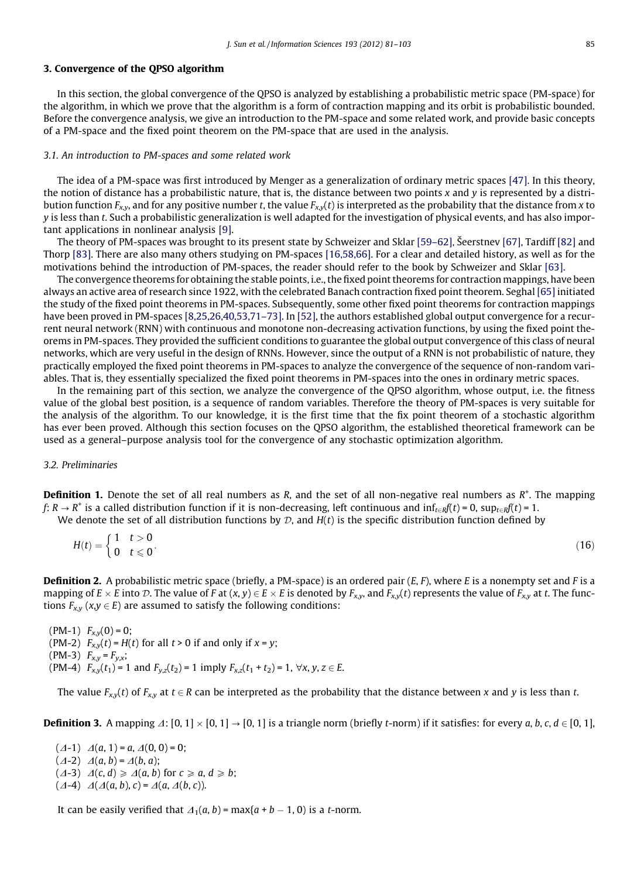# 3. Convergence of the QPSO algorithm

In this section, the global convergence of the QPSO is analyzed by establishing a probabilistic metric space (PM-space) for the algorithm, in which we prove that the algorithm is a form of contraction mapping and its orbit is probabilistic bounded. Before the convergence analysis, we give an introduction to the PM-space and some related work, and provide basic concepts of a PM-space and the fixed point theorem on the PM-space that are used in the analysis.

#### 3.1. An introduction to PM-spaces and some related work

The idea of a PM-space was first introduced by Menger as a generalization of ordinary metric spaces [\[47\].](#page-21-0) In this theory, the notion of distance has a probabilistic nature, that is, the distance between two points x and y is represented by a distribution function  $F_{x,y}$ , and for any positive number t, the value  $F_{x,y}(t)$  is interpreted as the probability that the distance from x to y is less than t. Such a probabilistic generalization is well adapted for the investigation of physical events, and has also important applications in nonlinear analysis [\[9\].](#page-20-0)

The theory of PM-spaces was brought to its present state by Schweizer and Sklar [\[59–62\],](#page-21-0) Šeerstnev [\[67\],](#page-22-0) Tardiff [\[82\]](#page-22-0) and Thorp [\[83\].](#page-22-0) There are also many others studying on PM-spaces [\[16,58,66\].](#page-20-0) For a clear and detailed history, as well as for the motivations behind the introduction of PM-spaces, the reader should refer to the book by Schweizer and Sklar [\[63\]](#page-22-0).

The convergence theorems for obtaining the stable points, i.e., the fixed point theorems for contraction mappings, have been always an active area of research since 1922, with the celebrated Banach contraction fixed point theorem. Seghal [\[65\]](#page-22-0) initiated the study of the fixed point theorems in PM-spaces. Subsequently, some other fixed point theorems for contraction mappings have been proved in PM-spaces [\[8,25,26,40,53,71–73\]](#page-20-0). In [\[52\],](#page-21-0) the authors established global output convergence for a recurrent neural network (RNN) with continuous and monotone non-decreasing activation functions, by using the fixed point theorems in PM-spaces. They provided the sufficient conditions to guarantee the global output convergence of this class of neural networks, which are very useful in the design of RNNs. However, since the output of a RNN is not probabilistic of nature, they practically employed the fixed point theorems in PM-spaces to analyze the convergence of the sequence of non-random variables. That is, they essentially specialized the fixed point theorems in PM-spaces into the ones in ordinary metric spaces.

In the remaining part of this section, we analyze the convergence of the QPSO algorithm, whose output, i.e. the fitness value of the global best position, is a sequence of random variables. Therefore the theory of PM-spaces is very suitable for the analysis of the algorithm. To our knowledge, it is the first time that the fix point theorem of a stochastic algorithm has ever been proved. Although this section focuses on the QPSO algorithm, the established theoretical framework can be used as a general–purpose analysis tool for the convergence of any stochastic optimization algorithm.

# 3.2. Preliminaries

Definition 1. Denote the set of all real numbers as R, and the set of all non-negative real numbers as R<sup>+</sup>. The mapping  $f: R \to R^+$  is a called distribution function if it is non-decreasing, left continuous and  $\inf_{t \in R} f(t) = 0$ ,  $\sup_{t \in R} f(t) = 1$ .

We denote the set of all distribution functions by  $D$ , and  $H(t)$  is the specific distribution function defined by

$$
H(t) = \begin{cases} 1 & t > 0 \\ 0 & t \le 0 \end{cases} \tag{16}
$$

**Definition 2.** A probabilistic metric space (briefly, a PM-space) is an ordered pair  $(E, F)$ , where E is a nonempty set and F is a mapping of  $E \times E$  into D. The value of F at  $(x, y) \in E \times E$  is denoted by  $F_{x,y}$ , and  $F_{x,y}(t)$  represents the value of  $F_{x,y}$  at t. The functions  $F_{x,y}$  ( $x,y \in E$ ) are assumed to satisfy the following conditions:

 $(PM-1)$   $F_{x,y}(0) = 0;$ (PM-2)  $F_{x,y}(t) = H(t)$  for all  $t > 0$  if and only if  $x = y$ ; (PM-3)  $F_{x,y} = F_{y,x};$ (PM-4)  $F_{x,y}(t_1) = 1$  and  $F_{y,z}(t_2) = 1$  imply  $F_{x,z}(t_1 + t_2) = 1$ ,  $\forall x, y, z \in E$ .

The value  $F_{x,y}(t)$  of  $F_{x,y}$  at  $t \in R$  can be interpreted as the probability that the distance between x and y is less than t.

**Definition 3.** A mapping  $\Delta: [0, 1] \times [0, 1] \rightarrow [0, 1]$  is a triangle norm (briefly t-norm) if it satisfies: for every a, b, c,  $d \in [0, 1]$ ,

 $(\Delta -1)$   $\Delta(a, 1) = a$ ,  $\Delta(0, 0) = 0$ ;  $(\Delta -2)$   $\Delta(a, b) = \Delta(b, a);$  $(\Delta -3)$   $\Delta(c, d) \ge \Delta(a, b)$  for  $c \ge a, d \ge b$ ;  $(\Delta - 4)$   $\Delta(\Delta(a, b), c) = \Delta(a, \Delta(b, c)).$ 

It can be easily verified that  $\Delta_1(a, b)$  = max $\{a + b - 1, 0\}$  is a t-norm.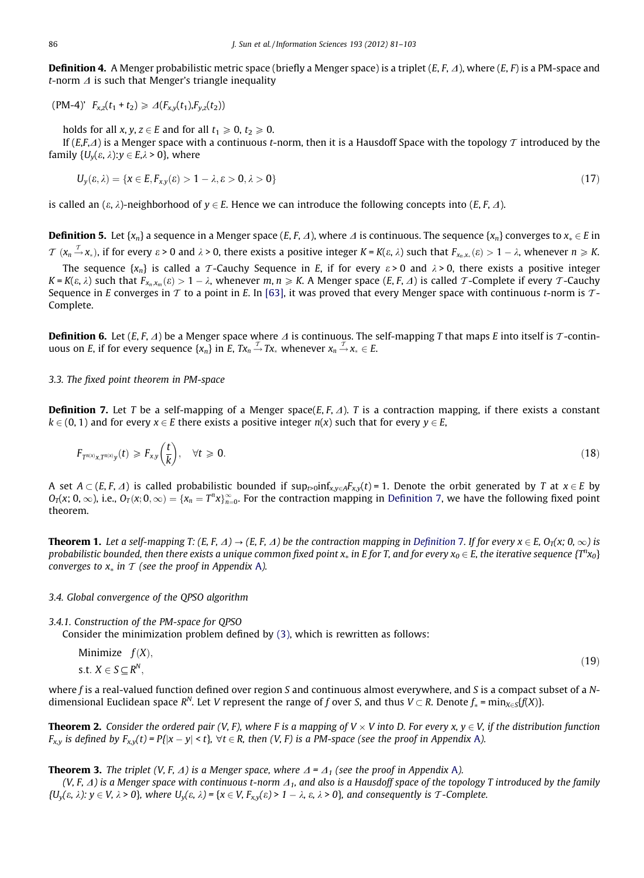<span id="page-5-0"></span>**Definition 4.** A Menger probabilistic metric space (briefly a Menger space) is a triplet  $(E, F, \Delta)$ , where  $(E, F)$  is a PM-space and t-norm  $\Delta$  is such that Menger's triangle inequality

 $(PM-4)$ '  $F_{x,z}(t_1 + t_2) \ge \Delta(F_{x,y}(t_1),F_{y,z}(t_2))$ 

holds for all x, y,  $z \in E$  and for all  $t_1 \ge 0$ ,  $t_2 \ge 0$ .

If  $(E,F,A)$  is a Menger space with a continuous t-norm, then it is a Hausdoff Space with the topology T introduced by the family  $\{U_{\nu}(\varepsilon, \lambda): \gamma \in E, \lambda \geq 0\}$ , where

$$
U_y(\varepsilon, \lambda) = \{x \in E, F_{xy}(\varepsilon) > 1 - \lambda, \varepsilon > 0, \lambda > 0\}
$$
\n
$$
(17)
$$

is called an  $(\varepsilon, \lambda)$ -neighborhood of  $y \in E$ . Hence we can introduce the following concepts into  $(E, F, \Delta)$ .

**Definition 5.** Let { $x_n$ } a sequence in a Menger space (E, F,  $\Delta$ ), where  $\Delta$  is continuous. The sequence { $x_n$ } converges to  $x_n \in E$  in  $\mathcal{T}$   $(x_n \stackrel{\mathcal{T}}{\rightarrow} x_*)$ , if for every  $\varepsilon > 0$  and  $\lambda > 0$ , there exists a positive integer  $K$  =  $K(\varepsilon,\lambda)$  such that  $F_{x_n,x_*}(\varepsilon) > 1-\lambda$ , whenever  $n \geqslant K$ .

The sequence  $\{x_n\}$  is called a T-Cauchy Sequence in E, if for every  $\varepsilon > 0$  and  $\lambda > 0$ , there exists a positive integer  $K$  =  $K(\epsilon,\lambda)$  such that  $F_{x_n,x_m}(\epsilon)>1-\lambda$ , whenever  $m,n\geqslant K$ . A Menger space  $(E,F,\varDelta)$  is called  $\varGamma$ -Complete if every  $\varGamma$ -Cauchy Sequence in E converges in T to a point in E. In [\[63\],](#page-22-0) it was proved that every Menger space with continuous t-norm is  $T$ -Complete.

**Definition 6.** Let  $(E, F, \Delta)$  be a Menger space where  $\Delta$  is continuous. The self-mapping T that maps E into itself is T-continuous on E, if for every sequence  $\{x_n\}$  in E,  $Tx_n \stackrel{\mathcal{T}}{\rightarrow} Tx_*$  whenever  $x_n \stackrel{\mathcal{T}}{\rightarrow} x_* \in E$ .

# 3.3. The fixed point theorem in PM-space

**Definition 7.** Let T be a self-mapping of a Menger space(E, F,  $\Delta$ ). T is a contraction mapping, if there exists a constant  $k \in (0, 1)$  and for every  $x \in E$  there exists a positive integer  $n(x)$  such that for every  $y \in E$ ,

$$
F_{T^{n(x)}x,T^{n(x)}y}(t) \geq F_{xy}\left(\frac{t}{k}\right), \quad \forall t \geq 0. \tag{18}
$$

A set  $A \subset (E, F, \Delta)$  is called probabilistic bounded if  $\sup_{t \to 0} \inf_{x,y \in A} F_{x,y}(t) = 1$ . Denote the orbit generated by T at  $x \in E$  by  $O_T(x; 0, \infty)$ , i.e.,  $O_T(x; 0, \infty) = \{x_n = T^n x\}_{n=0}^{\infty}$ . For the contraction mapping in Definition 7, we have the following fixed point theorem.

**Theorem 1.** Let a self-mapping T: (E, F,  $\Delta$ )  $\rightarrow$  (E, F,  $\Delta$ ) be the contraction mapping in Definition 7. If for every  $x \in E$ ,  $O_T(x; 0, \infty)$  is probabilistic bounded, then there exists a unique common fixed point  $x_*$  in E for T, and for every  $x_0 \in E$ , the iterative sequence  $\{T^nx_0\}$ converges to  $x_*$  in T (see the proof in Appendix A).

# 3.4. Global convergence of the QPSO algorithm

3.4.1. Construction of the PM-space for QPSO

Consider the minimization problem defined by [\(3\),](#page-2-0) which is rewritten as follows:

Minimize 
$$
f(X)
$$
,  
s.t.  $X \in S \subseteq R^N$ , (19)

where f is a real-valued function defined over region S and continuous almost everywhere, and S is a compact subset of a Ndimensional Euclidean space R<sup>N</sup>. Let V represent the range of f over S, and thus  $V \subset R$ . Denote  $f_* = \min_{x \in S} {f(X)}$ .

**Theorem 2.** Consider the ordered pair (V, F), where F is a mapping of  $V \times V$  into D. For every x,  $v \in V$ , if the distribution function  $F_{x,y}$  is defined by  $F_{x,y}(t) = P\{|x-y| \le t\}$ ,  $\forall t \in R$ , then  $(V, F)$  is a PM-space (see the proof in Appendix A).

**Theorem 3.** The triplet (V, F,  $\Delta$ ) is a Menger space, where  $\Delta = \Delta_1$  (see the proof in Appendix A).

(V, F,  $\varDelta$ ) is a Menger space with continuous t-norm  $\varDelta_1$ , and also is a Hausdoff space of the topology T introduced by the family  $\{U_y(\varepsilon, \lambda): y \in V, \lambda > 0\}$ , where  $U_y(\varepsilon, \lambda) = \{x \in V, F_{x,y}(\varepsilon) > 1 - \lambda, \varepsilon, \lambda > 0\}$ , and consequently is T-Complete.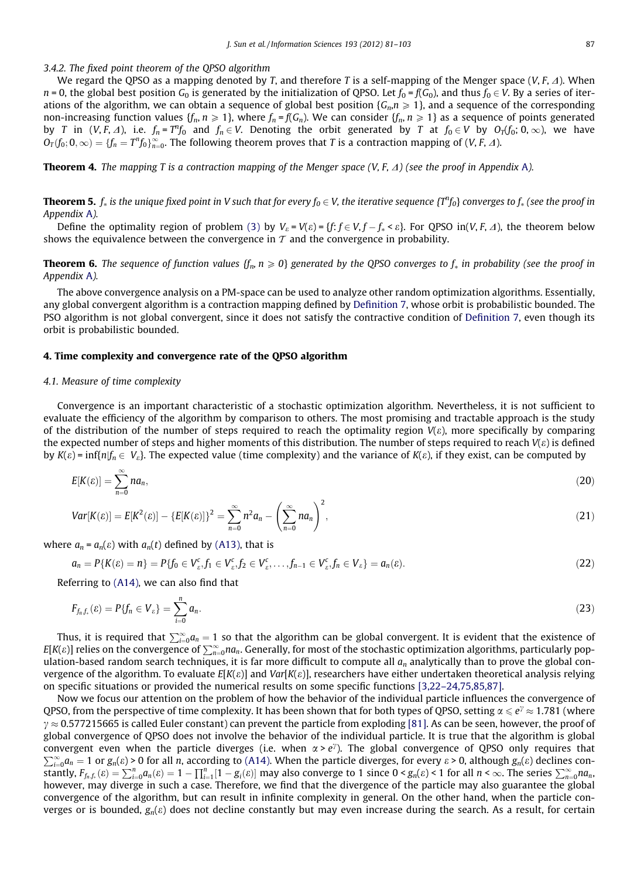# <span id="page-6-0"></span>3.4.2. The fixed point theorem of the QPSO algorithm

We regard the QPSO as a mapping denoted by T, and therefore T is a self-mapping of the Menger space (V, F,  $\Delta$ ). When  $n = 0$ , the global best position  $G_0$  is generated by the initialization of QPSO. Let  $f_0 = f(G_0)$ , and thus  $f_0 \in V$ . By a series of iterations of the algorithm, we can obtain a sequence of global best position { $G_n$ , $n \geq 1$ }, and a sequence of the corresponding non-increasing function values  $\{f_n, n \geq 1\}$ , where  $f_n = f(G_n)$ . We can consider  $\{f_n, n \geq 1\}$  as a sequence of points generated by T in  $(V, F, \Delta)$ , i.e.  $f_n = T^n f_0$  and  $f_n \in V$ . Denoting the orbit generated by T at  $f_0 \in V$  by  $O_T(f_0; 0, \infty)$ , we have  $O_T(f_0;0,\infty)=\{f_n=T^nf_0\}_{n=0}^\infty.$  The following theorem proves that  $T$  is a contraction mapping of  $(V,F,A)$ .

**Theorem 4.** The mapping T is a contraction mapping of the Menger space  $(V, F, \Delta)$  (see the proof in Appendix A).

**Theorem 5.**  $f_*$  is the unique fixed point in V such that for every  $f_0\in V$ , the iterative sequence  $\{T^nf_0\}$  converges to  $f_*$  (see the proof in Appendix A).

Define the optimality region of problem [\(3\)](#page-2-0) by  $V_{\varepsilon} = V(\varepsilon) = \{f: f \in V, f - f_* \leq \varepsilon\}$ . For QPSO in(*V*, *F*,  $\varDelta$ ), the theorem below shows the equivalence between the convergence in  $\tau$  and the convergence in probability.

**Theorem 6.** The sequence of function values  $\{f_n, n \ge 0\}$  generated by the QPSO converges to  $f_*$  in probability (see the proof in Appendix A).

The above convergence analysis on a PM-space can be used to analyze other random optimization algorithms. Essentially, any global convergent algorithm is a contraction mapping defined by [Definition 7](#page-5-0), whose orbit is probabilistic bounded. The PSO algorithm is not global convergent, since it does not satisfy the contractive condition of [Definition 7,](#page-5-0) even though its orbit is probabilistic bounded.

#### 4. Time complexity and convergence rate of the QPSO algorithm

# 4.1. Measure of time complexity

Convergence is an important characteristic of a stochastic optimization algorithm. Nevertheless, it is not sufficient to evaluate the efficiency of the algorithm by comparison to others. The most promising and tractable approach is the study of the distribution of the number of steps required to reach the optimality region  $V(\varepsilon)$ , more specifically by comparing the expected number of steps and higher moments of this distribution. The number of steps required to reach  $V(\varepsilon)$  is defined by  $K(\varepsilon)$  = inf{n|f<sub>n</sub>  $\in V_{\varepsilon}$ }. The expected value (time complexity) and the variance of  $K(\varepsilon)$ , if they exist, can be computed by

$$
E[K(\varepsilon)] = \sum_{n=0}^{\infty} n a_n, \tag{20}
$$

$$
Var[K(\varepsilon)] = E[K^{2}(\varepsilon)] - \{E[K(\varepsilon)]\}^{2} = \sum_{n=0}^{\infty} n^{2} a_{n} - \left(\sum_{n=0}^{\infty} n a_{n}\right)^{2},
$$
\n(21)

where  $a_n = a_n(\varepsilon)$  with  $a_n(t)$  defined by [\(A13\),](#page-19-0) that is

$$
a_n = P\{K(\varepsilon) = n\} = P\{f_0 \in V_{\varepsilon}^c, f_1 \in V_{\varepsilon}^c, f_2 \in V_{\varepsilon}^c, \dots, f_{n-1} \in V_{\varepsilon}^c, f_n \in V_{\varepsilon}\} = a_n(\varepsilon).
$$
\n(22)

Referring to [\(A14\)](#page-19-0), we can also find that

$$
F_{f_n,f_*}(\varepsilon) = P\{f_n \in V_{\varepsilon}\} = \sum_{i=0}^n a_n.
$$
\n(23)

Thus, it is required that  $\sum_{i=0}^\infty a_n=1$  so that the algorithm can be global convergent. It is evident that the existence of  $E[K(\varepsilon)]$  relies on the convergence of  $\sum_{n=0}^{\infty} n a_n$ . Generally, for most of the stochastic optimization algorithms, particularly population-based random search techniques, it is far more difficult to compute all  $a_n$  analytically than to prove the global convergence of the algorithm. To evaluate  $E[K(\varepsilon)]$  and  $Var[K(\varepsilon)]$ , researchers have either undertaken theoretical analysis relying on specific situations or provided the numerical results on some specific functions [\[3,22–24,75,85,87\]](#page-20-0).

Now we focus our attention on the problem of how the behavior of the individual particle influences the convergence of QPSO, from the perspective of time complexity. It has been shown that for both types of QPSO, setting  $\alpha\leqslant e^\gamma\approx 1.781$  (where  $\gamma\approx$  0.577215665 is called Euler constant) can prevent the particle from exploding [\[81\].](#page-22-0) As can be seen, however, the proof of global convergence of QPSO does not involve the behavior of the individual particle. It is true that the algorithm is global convergent even when the particle diverges (i.e. when  $\alpha > e^{\gamma}$ ). The global convergence of QPSO only requires that  $\sum_{i=0}^{\infty} a_n = 1$  or  $g_n(\varepsilon) > 0$  for all n, according to [\(A14\)](#page-19-0). When the particle diverges, for every  $\varepsilon > 0$ , although  $g_n(\varepsilon)$  declines constantly,  $F_{f_n,f_k}(\varepsilon) = \sum_{i=0}^n a_n(\varepsilon) = 1 - \prod_{i=1}^n [1 - g_i(\varepsilon)]$  may also converge to 1 since  $0 < g_n(\varepsilon) < 1$  for all  $n < \infty$ . The series  $\sum_{n=0}^{\infty} n a_n$ , however, may diverge in such a case. Therefore, we find that the divergence of the particle may also guarantee the global convergence of the algorithm, but can result in infinite complexity in general. On the other hand, when the particle converges or is bounded,  $g_n(\varepsilon)$  does not decline constantly but may even increase during the search. As a result, for certain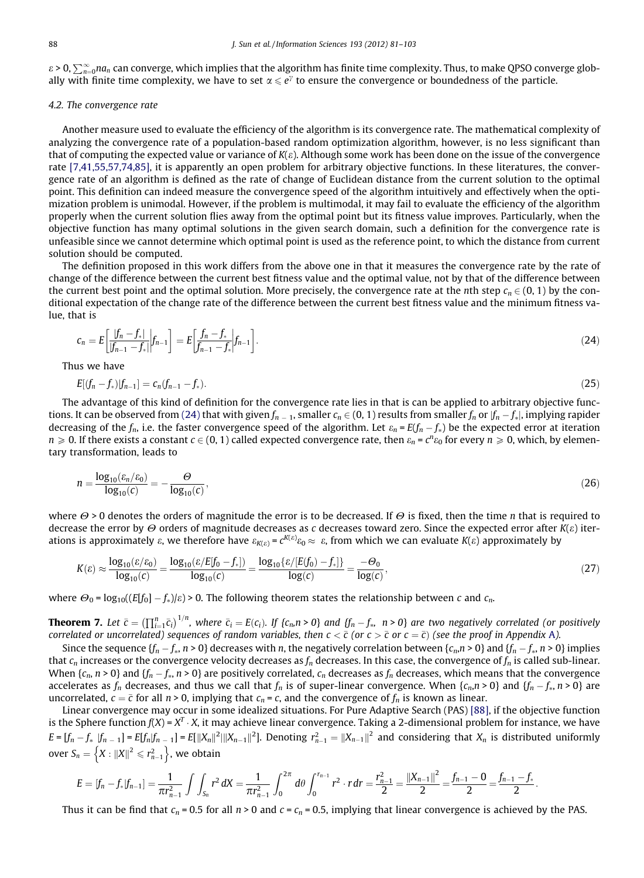$\varepsilon$  > 0,  $\sum_{n=0}^\infty$ na $_n$  can converge, which implies that the algorithm has finite time complexity. Thus, to make QPSO converge globally with finite time complexity, we have to set  $\alpha \le e^{\gamma}$  to ensure the convergence or boundedness of the particle.

# 4.2. The convergence rate

Another measure used to evaluate the efficiency of the algorithm is its convergence rate. The mathematical complexity of analyzing the convergence rate of a population-based random optimization algorithm, however, is no less significant than that of computing the expected value or variance of  $K(\varepsilon)$ . Although some work has been done on the issue of the convergence rate [\[7,41,55,57,74,85\],](#page-20-0) it is apparently an open problem for arbitrary objective functions. In these literatures, the convergence rate of an algorithm is defined as the rate of change of Euclidean distance from the current solution to the optimal point. This definition can indeed measure the convergence speed of the algorithm intuitively and effectively when the optimization problem is unimodal. However, if the problem is multimodal, it may fail to evaluate the efficiency of the algorithm properly when the current solution flies away from the optimal point but its fitness value improves. Particularly, when the objective function has many optimal solutions in the given search domain, such a definition for the convergence rate is unfeasible since we cannot determine which optimal point is used as the reference point, to which the distance from current solution should be computed.

The definition proposed in this work differs from the above one in that it measures the convergence rate by the rate of change of the difference between the current best fitness value and the optimal value, not by that of the difference between the current best point and the optimal solution. More precisely, the convergence rate at the *n*th step  $c_n \in (0, 1)$  by the conditional expectation of the change rate of the difference between the current best fitness value and the minimum fitness value, that is

$$
c_n = E\left[\frac{|f_n - f_*|}{|f_{n-1} - f_*|}\bigg| f_{n-1}\right] = E\left[\frac{f_n - f_*}{f_{n-1} - f_*}\bigg| f_{n-1}\right].\tag{24}
$$

Thus we have

$$
E[(f_n - f_*)|f_{n-1}] = c_n(f_{n-1} - f_*)
$$
\n(25)

The advantage of this kind of definition for the convergence rate lies in that is can be applied to arbitrary objective functions. It can be observed from (24) that with given  $f_{n\,-\,1}$ , smaller  $c_n\in (0,\,1)$  results from smaller  $f_n$  or  $|f_n-f_*|$ , implying rapider decreasing of the  $f_n$ , i.e. the faster convergence speed of the algorithm. Let  $\varepsilon_n = E(f_n - f_*)$  be the expected error at iteration  $n\geqslant 0$ . If there exists a constant  $c\in (0,1)$  called expected convergence rate, then  $\varepsilon_n$  =  $c^ne_0$  for every  $n\geqslant 0$ , which, by elementary transformation, leads to

$$
n = \frac{\log_{10}(\varepsilon_n/\varepsilon_0)}{\log_{10}(c)} = -\frac{\Theta}{\log_{10}(c)},
$$
\n(26)

where  $\Theta$  > 0 denotes the orders of magnitude the error is to be decreased. If  $\Theta$  is fixed, then the time *n* that is required to decrease the error by  $\Theta$  orders of magnitude decreases as c decreases toward zero. Since the expected error after  $K(\varepsilon)$  iterations is approximately  $\varepsilon$ , we therefore have  $\varepsilon_{K(\varepsilon)} = c^{K(\varepsilon)} \varepsilon_0 \approx \varepsilon$ , from which we can evaluate  $K(\varepsilon)$  approximately by

$$
K(\varepsilon) \approx \frac{\log_{10}(\varepsilon/\varepsilon_0)}{\log_{10}(c)} = \frac{\log_{10}(\varepsilon/E[f_0 - f_*])}{\log_{10}(c)} = \frac{\log_{10}\{\varepsilon/[E(f_0) - f_*]\}}{\log(c)} = \frac{-\Theta_0}{\log(c)},
$$
\n(27)

where  $\Theta_0 = \log_{10}((E[f_0] - f_*)/\varepsilon) > 0$ . The following theorem states the relationship between c and  $c_n$ .

**Theorem 7.** Let  $\bar{c} = (\prod_{i=1}^n \bar{c}_i)^{1/n}$ , where  $\bar{c}_i = E(c_i)$ . If  $\{c_n, n > 0\}$  and  $\{f_n - f_*$ ,  $n > 0\}$  are two negatively correlated (or positively correlated or uncorrelated) sequences of random variables, then  $c<\bar{c}$  (or  $c>\bar{c}$  or  $c=\bar{c}$ ) (see the proof in Appendix A).

Since the sequence  $\{f_n-f_*,n>0\}$  decreases with n, the negatively correlation between  $\{c_n,n>0\}$  and  $\{f_n-f_*,n>0\}$  implies that  $c_n$  increases or the convergence velocity decreases as  $f_n$  decreases. In this case, the convergence of  $f_n$  is called sub-linear. When { $c_n$ ,  $n > 0$ } and { $f_n - f_*$ ,  $n > 0$ } are positively correlated,  $c_n$  decreases as  $f_n$  decreases, which means that the convergence accelerates as  $f_n$  decreases, and thus we call that  $f_n$  is of super-linear convergence. When  $\{c_n, n > 0\}$  and  $\{f_n - f_*$ ,  $n > 0\}$  are uncorrelated,  $c = \bar{c}$  for all  $n > 0$ , implying that  $c_n = c$ , and the convergence of  $f_n$  is known as linear.

Linear convergence may occur in some idealized situations. For Pure Adaptive Search (PAS) [\[88\]](#page-22-0), if the objective function is the Sphere function  $f(X) = X^T \cdot X$ , it may achieve linear convergence. Taking a 2-dimensional problem for instance, we have  $E = [f_n - f_* \, |f_{n-1}] = E[f_n |f_{n-1}] = E[\|X_n\|^2 \|\|X_{n-1}\|^2]$ . Denoting  $r_{n-1}^2 = \|X_{n-1}\|^2$  and considering that  $X_n$  is distributed uniformly over  $S_n = \left\{ X : ||X||^2 \le r_{n-1}^2 \right\}$ , we obtain

$$
E = [f_n - f_*|f_{n-1}] = \frac{1}{\pi r_{n-1}^2} \int \int_{S_n} r^2 dX = \frac{1}{\pi r_{n-1}^2} \int_0^{2\pi} d\theta \int_0^{r_{n-1}} r^2 \cdot r dr = \frac{r_{n-1}^2}{2} = \frac{||X_{n-1}||^2}{2} = \frac{f_{n-1} - 0}{2} = \frac{f_{n-1} - f_*}{2}.
$$

Thus it can be find that  $c_n = 0.5$  for all  $n > 0$  and  $c = c_n = 0.5$ , implying that linear convergence is achieved by the PAS.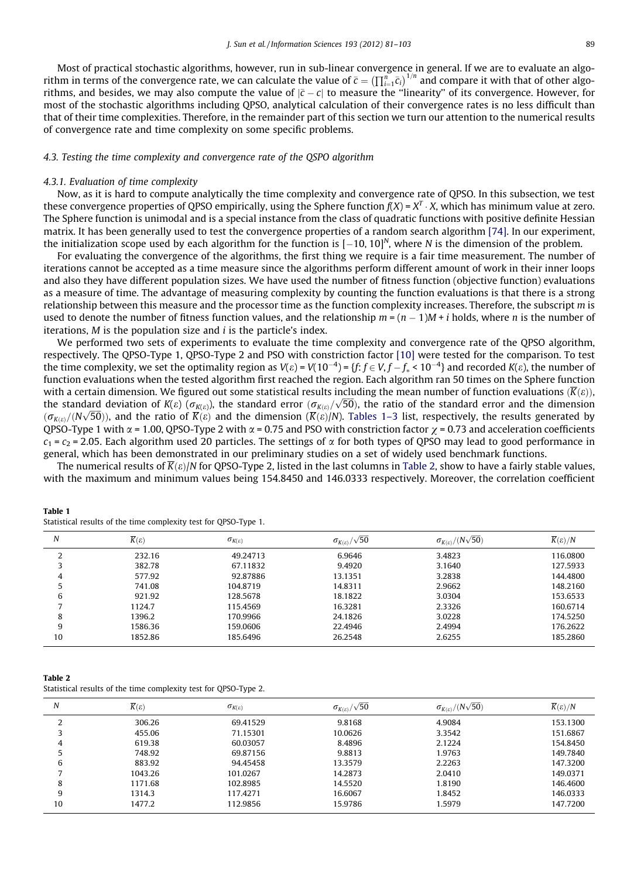<span id="page-8-0"></span>Most of practical stochastic algorithms, however, run in sub-linear convergence in general. If we are to evaluate an algo-The convergence rate, we can calculate the value of  $\bar{c} = (\prod_{i=1}^n \bar{c}_i)^{1/n}$  and compare it with that of other algo-<br>rithm in terms of the convergence rate, we can calculate the value of  $\bar{c} = (\prod_{i=1}^n \bar{c}_i)^{1/n}$  a rithms, and besides, we may also compute the value of  $|\bar{c} - c|$  to measure the "linearity" of its convergence. However, for most of the stochastic algorithms including QPSO, analytical calculation of their convergence rates is no less difficult than that of their time complexities. Therefore, in the remainder part of this section we turn our attention to the numerical results of convergence rate and time complexity on some specific problems.

## 4.3. Testing the time complexity and convergence rate of the QSPO algorithm

# 4.3.1. Evaluation of time complexity

Now, as it is hard to compute analytically the time complexity and convergence rate of QPSO. In this subsection, we test these convergence properties of OPSO empirically, using the Sphere function  $f(X) = X^T \cdot X$ , which has minimum value at zero. The Sphere function is unimodal and is a special instance from the class of quadratic functions with positive definite Hessian matrix. It has been generally used to test the convergence properties of a random search algorithm [\[74\]](#page-22-0). In our experiment, the initialization scope used by each algorithm for the function is  $[-10, 10]^N$ , where N is the dimension of the problem.

For evaluating the convergence of the algorithms, the first thing we require is a fair time measurement. The number of iterations cannot be accepted as a time measure since the algorithms perform different amount of work in their inner loops and also they have different population sizes. We have used the number of fitness function (objective function) evaluations as a measure of time. The advantage of measuring complexity by counting the function evaluations is that there is a strong relationship between this measure and the processor time as the function complexity increases. Therefore, the subscript m is used to denote the number of fitness function values, and the relationship  $m$  = ( $n$  – 1)M + i holds, where n is the number of iterations,  $M$  is the population size and  $i$  is the particle's index.

We performed two sets of experiments to evaluate the time complexity and convergence rate of the QPSO algorithm, respectively. The QPSO-Type 1, QPSO-Type 2 and PSO with constriction factor [\[10\]](#page-20-0) were tested for the comparison. To test the time complexity, we set the optimality region as V( $\varepsilon$ ) = V(10<sup>-4</sup>) = {f: f  $\in$  V, f  $-f_*$  < 10<sup>-4</sup>} and recorded K( $\varepsilon$ ), the number of function evaluations when the tested algorithm first reached the region. Each algorithm ran 50 times on the Sphere function with a certain dimension. We figured out some statistical results including the mean number of function evaluations  $(\overline{K}(e))$ , with a certain dimension, we ngured out some statistical results including the mean number of function evaluations  $(\kappa(\epsilon))$ , the standard error  $(\sigma_{K(\epsilon)})$ , the ratio of the standard error and the dimension  $(\sigma_{K(\varepsilon)}/(N\sqrt{50}))$ , and the ratio of  $\overline{K}(\varepsilon)$  and the dimension  $(\overline{K}(\varepsilon)/N)$ . Tables 1–3 list, respectively, the results generated by QPSO-Type 1 with  $\alpha$  = 1.00, QPSO-Type 2 with  $\alpha$  = 0.75 and PSO with constriction factor  $\gamma$  = 0.73 and acceleration coefficients  $c_1$  =  $c_2$  = 2.05. Each algorithm used 20 particles. The settings of  $\alpha$  for both types of OPSO may lead to good performance in general, which has been demonstrated in our preliminary studies on a set of widely used benchmark functions.

The numerical results of  $\overline{K}(\varepsilon)/N$  for OPSO-Type 2, listed in the last columns in Table 2, show to have a fairly stable values, with the maximum and minimum values being 154.8450 and 146.0333 respectively. Moreover, the correlation coefficient

| Table 1                                                          |  |
|------------------------------------------------------------------|--|
| Statistical results of the time complexity test for QPSO-Type 1. |  |

| N  | $\overline{K}(\varepsilon)$ | $\sigma_{K(\varepsilon)}$ | $\sigma_{K(\varepsilon)}/\sqrt{50}$ | $\sigma_{K(\varepsilon)}/(N\sqrt{50})$ | $K(\varepsilon)/N$ |
|----|-----------------------------|---------------------------|-------------------------------------|----------------------------------------|--------------------|
|    | 232.16                      | 49.24713                  | 6.9646                              | 3.4823                                 | 116.0800           |
|    | 382.78                      | 67.11832                  | 9.4920                              | 3.1640                                 | 127.5933           |
|    | 577.92                      | 92.87886                  | 13.1351                             | 3.2838                                 | 144.4800           |
|    | 741.08                      | 104.8719                  | 14.8311                             | 2.9662                                 | 148.2160           |
| 6  | 921.92                      | 128.5678                  | 18.1822                             | 3.0304                                 | 153.6533           |
|    | 1124.7                      | 115.4569                  | 16.3281                             | 2.3326                                 | 160.6714           |
| 8  | 1396.2                      | 170.9966                  | 24.1826                             | 3.0228                                 | 174.5250           |
| 9  | 1586.36                     | 159.0606                  | 22.4946                             | 2.4994                                 | 176.2622           |
| 10 | 1852.86                     | 185.6496                  | 26.2548                             | 2.6255                                 | 185.2860           |

Table 2

Statistical results of the time complexity test for QPSO-Type 2.

| N  | $\overline{K}(\varepsilon)$ | $\sigma_{K(\varepsilon)}$ | $\sigma_{K(\varepsilon)}/\sqrt{50}$ | $\sigma_{K(\varepsilon)}/(N\sqrt{50})$ | $\overline{K}(\varepsilon)/N$ |
|----|-----------------------------|---------------------------|-------------------------------------|----------------------------------------|-------------------------------|
|    | 306.26                      | 69.41529                  | 9.8168                              | 4.9084                                 | 153.1300                      |
|    | 455.06                      | 71.15301                  | 10.0626                             | 3.3542                                 | 151.6867                      |
| 4  | 619.38                      | 60.03057                  | 8.4896                              | 2.1224                                 | 154.8450                      |
|    | 748.92                      | 69.87156                  | 9.8813                              | 1.9763                                 | 149.7840                      |
| 6  | 883.92                      | 94.45458                  | 13.3579                             | 2.2263                                 | 147.3200                      |
|    | 1043.26                     | 101.0267                  | 14.2873                             | 2.0410                                 | 149.0371                      |
| õ  | 1171.68                     | 102.8985                  | 14.5520                             | 1.8190                                 | 146.4600                      |
| 9  | 1314.3                      | 117.4271                  | 16.6067                             | 1.8452                                 | 146.0333                      |
| 10 | 1477.2                      | 112.9856                  | 15.9786                             | 1.5979                                 | 147.7200                      |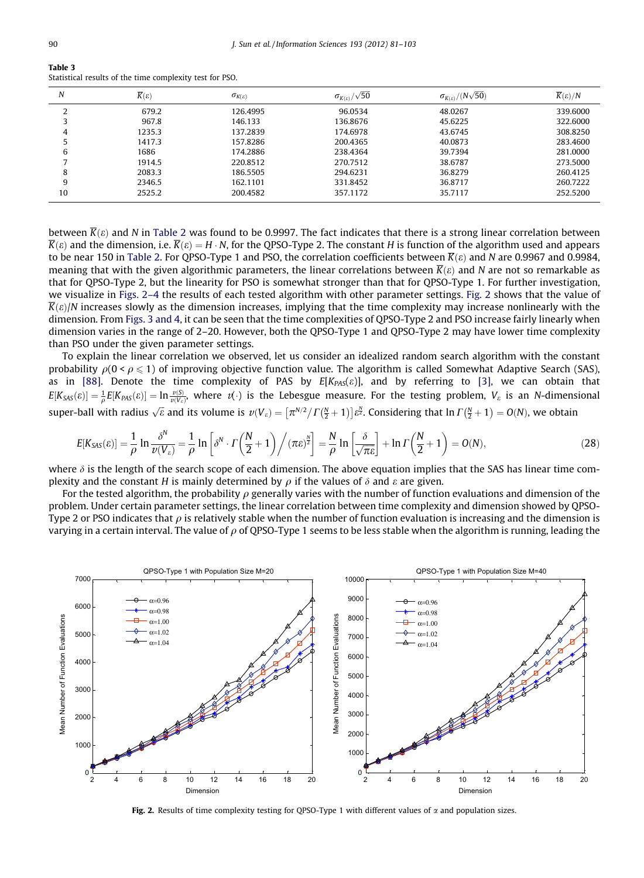| Table 3                                                  |  |  |  |
|----------------------------------------------------------|--|--|--|
| Statistical results of the time complexity test for PSO. |  |  |  |

| Ν  | $\overline{K}(\varepsilon)$ | $\sigma_{K(\varepsilon)}$ | $\sigma_{K(\varepsilon)}/\sqrt{50}$ | $\sigma_{K(\varepsilon)}/(N\sqrt{50})$ | $\overline{K}(\varepsilon)/N$ |
|----|-----------------------------|---------------------------|-------------------------------------|----------------------------------------|-------------------------------|
|    | 679.2                       | 126.4995                  | 96.0534                             | 48.0267                                | 339,6000                      |
|    | 967.8                       | 146.133                   | 136.8676                            | 45.6225                                | 322,6000                      |
| 4  | 1235.3                      | 137.2839                  | 174.6978                            | 43.6745                                | 308.8250                      |
|    | 1417.3                      | 157.8286                  | 200.4365                            | 40.0873                                | 283.4600                      |
|    | 1686                        | 174.2886                  | 238.4364                            | 39.7394                                | 281.0000                      |
|    | 1914.5                      | 220.8512                  | 270.7512                            | 38.6787                                | 273.5000                      |
| 8  | 2083.3                      | 186.5505                  | 294.6231                            | 36.8279                                | 260.4125                      |
| 9  | 2346.5                      | 162.1101                  | 331.8452                            | 36.8717                                | 260.7222                      |
| 10 | 2525.2                      | 200.4582                  | 357.1172                            | 35.7117                                | 252.5200                      |

between  $\overline{K}(\varepsilon)$  and N in [Table 2](#page-8-0) was found to be 0.9997. The fact indicates that there is a strong linear correlation between  $\overline{K}(\varepsilon)$  and the dimension, i.e.  $\overline{K}(\varepsilon) = H \cdot N$ , for the QPSO-Type 2. The constant H is function of the algorithm used and appears to be near 150 in [Table 2](#page-8-0). For QPSO-Type 1 and PSO, the correlation coefficients between  $\overline{K}(\varepsilon)$  and N are 0.9967 and 0.9984, meaning that with the given algorithmic parameters, the linear correlations between  $\overline{K}(\varepsilon)$  and N are not so remarkable as that for QPSO-Type 2, but the linearity for PSO is somewhat stronger than that for QPSO-Type 1. For further investigation, we visualize in Figs. 2–4 the results of each tested algorithm with other parameter settings. Fig. 2 shows that the value of  $\overline{K}(\varepsilon)/N$  increases slowly as the dimension increases, implying that the time complexity may increase nonlinearly with the dimension. From [Figs. 3 and 4](#page-10-0), it can be seen that the time complexities of QPSO-Type 2 and PSO increase fairly linearly when dimension varies in the range of 2–20. However, both the QPSO-Type 1 and QPSO-Type 2 may have lower time complexity than PSO under the given parameter settings.

To explain the linear correlation we observed, let us consider an idealized random search algorithm with the constant probability  $\rho(0 \le \rho \le 1)$  of improving objective function value. The algorithm is called Somewhat Adaptive Search (SAS), as in [\[88\]](#page-22-0). Denote the time complexity of PAS by  $E[K_{PAS}(\varepsilon)]$ , and by referring to [\[3\]](#page-20-0), we can obtain that  $E[K_{SAS}(\varepsilon)] = \frac{1}{\rho}E[K_{PAS}(\varepsilon)] = \ln \frac{\nu(S)}{\nu(V_{\varepsilon})}$ , where  $\nu(\cdot)$  is the Lebesgue measure. For the testing problem,  $V_{\varepsilon}$  is an *N*-dimensional super-ball with radius  $\sqrt{\varepsilon}$  and its volume is  $v(V_{\varepsilon}) = [\pi^{N/2}/\Gamma(\frac{N}{2}+1)]\varepsilon^N$ . Considering that  $\ln \Gamma(\frac{N}{2}+1) = O(N)$ , we obtain

$$
E[K_{SAS}(\varepsilon)] = \frac{1}{\rho} \ln \frac{\delta^N}{\nu(V_{\varepsilon})} = \frac{1}{\rho} \ln \left[ \delta^N \cdot \Gamma \left( \frac{N}{2} + 1 \right) \Big/ (\pi \varepsilon)^{\frac{N}{2}} \right] = \frac{N}{\rho} \ln \left[ \frac{\delta}{\sqrt{\pi \varepsilon}} \right] + \ln \Gamma \left( \frac{N}{2} + 1 \right) = O(N), \tag{28}
$$

where  $\delta$  is the length of the search scope of each dimension. The above equation implies that the SAS has linear time complexity and the constant H is mainly determined by  $\rho$  if the values of  $\delta$  and  $\varepsilon$  are given.

For the tested algorithm, the probability  $\rho$  generally varies with the number of function evaluations and dimension of the problem. Under certain parameter settings, the linear correlation between time complexity and dimension showed by QPSO-Type 2 or PSO indicates that  $\rho$  is relatively stable when the number of function evaluation is increasing and the dimension is varying in a certain interval. The value of  $\rho$  of QPSO-Type 1 seems to be less stable when the algorithm is running, leading the



Fig. 2. Results of time complexity testing for QPSO-Type 1 with different values of  $\alpha$  and population sizes.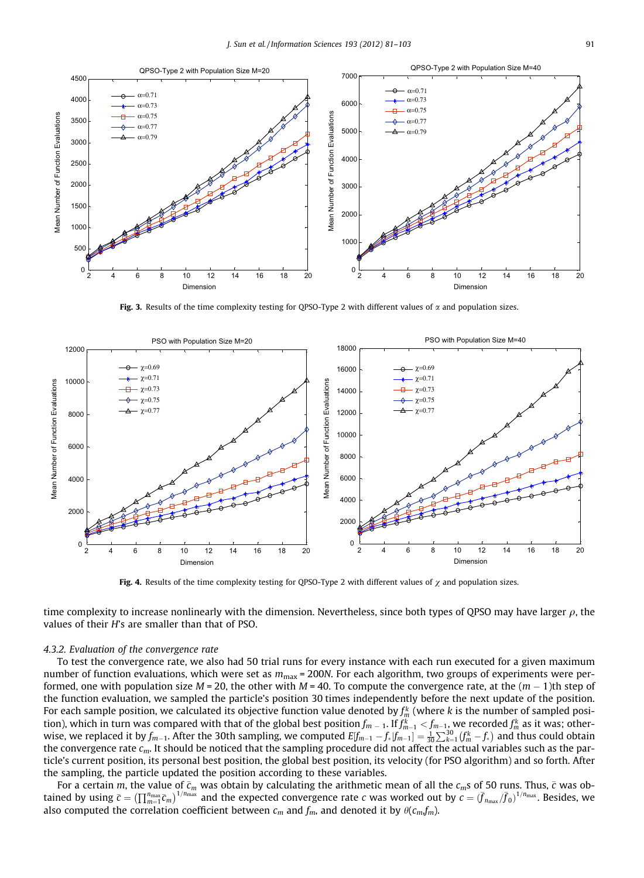<span id="page-10-0"></span>

Fig. 3. Results of the time complexity testing for OPSO-Type 2 with different values of  $\alpha$  and population sizes.



Fig. 4. Results of the time complexity testing for QPSO-Type 2 with different values of  $\chi$  and population sizes.

time complexity to increase nonlinearly with the dimension. Nevertheless, since both types of QPSO may have larger  $\rho$ , the values of their H's are smaller than that of PSO.

# 4.3.2. Evaluation of the convergence rate

To test the convergence rate, we also had 50 trial runs for every instance with each run executed for a given maximum number of function evaluations, which were set as  $m_{\text{max}}$  = 200N. For each algorithm, two groups of experiments were performed, one with population size M = 20, the other with M = 40. To compute the convergence rate, at the  $(m-1)$ th step of the function evaluation, we sampled the particle's position 30 times independently before the next update of the position. For each sample position, we calculated its objective function value denoted by  $f_m^\kappa$  (where  $k$  is the number of sampled position), which in turn was compared with that of the global best position  $f_{m\,-\,1}$ . If  $f^k_{m-1} < f_{m-1}$ , we recorded  $f^k_m$  as it was; otherwise, we replaced it by  $f_{m-1}$ . After the 30th sampling, we computed  $E[f_{m-1} - f_*|f_{m-1}] = \frac{1}{30} \sum_{k=1}^{30} (f_m^k - f_*)$  and thus could obtain the convergence rate  $c_m$ . It should be noticed that the sampling procedure did not affect the actual variables such as the particle's current position, its personal best position, the global best position, its velocity (for PSO algorithm) and so forth. After the sampling, the particle updated the position according to these variables.

For a certain m, the value of  $\bar c_m$  was obtain by calculating the arithmetic mean of all the  $c_m$ s of 50 runs. Thus,  $\bar c$  was obtained by using  $\bar{c} = (\prod_{m=1}^{n_{\text{max}}} \bar{c}_m)^{1/n_{\text{max}}}$  and the expected convergence rate *c* was worked out by  $c = (\bar{f}_{n_{\text{max}}}/\bar{f}_0)^{1/n_{\text{max}}}$ . Besides, we also computed the correlation coefficient between  $c_m$  and  $f_m$ , and denoted it by  $\theta(c_m f_m)$ .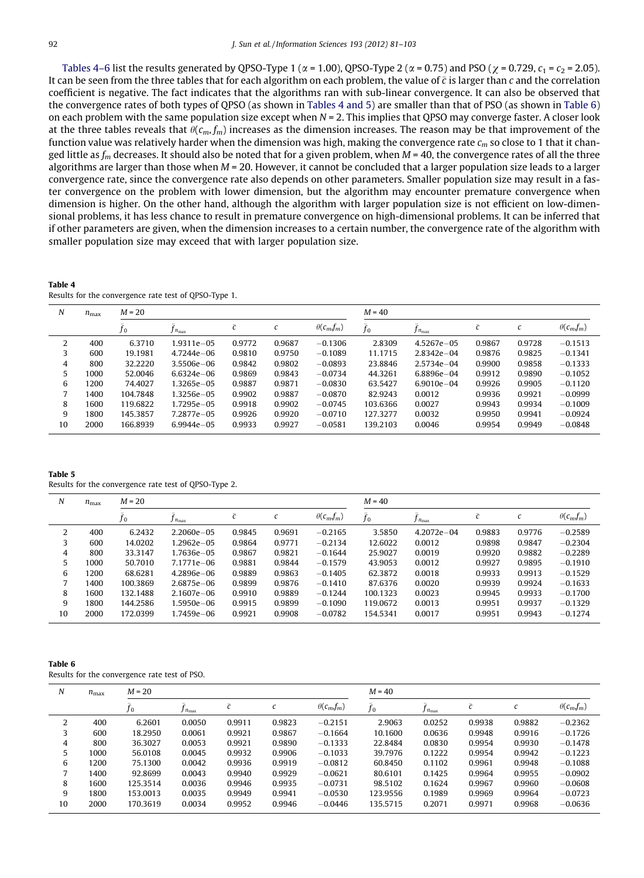Tables 4–6 list the results generated by QPSO-Type 1 ( $\alpha$  = 1.00), QPSO-Type 2 ( $\alpha$  = 0.75) and PSO ( $\chi$  = 0.729,  $c_1$  =  $c_2$  = 2.05). It can be seen from the three tables that for each algorithm on each problem, the value of  $\bar c$  is larger than  $c$  and the correlation coefficient is negative. The fact indicates that the algorithms ran with sub-linear convergence. It can also be observed that the convergence rates of both types of QPSO (as shown in Tables 4 and 5) are smaller than that of PSO (as shown in Table 6) on each problem with the same population size except when  $N = 2$ . This implies that QPSO may converge faster. A closer look at the three tables reveals that  $\theta(c_m, f_m)$  increases as the dimension increases. The reason may be that improvement of the function value was relatively harder when the dimension was high, making the convergence rate  $c_m$  so close to 1 that it changed little as  $f_m$  decreases. It should also be noted that for a given problem, when  $M = 40$ , the convergence rates of all the three algorithms are larger than those when  $M = 20$ . However, it cannot be concluded that a larger population size leads to a larger convergence rate, since the convergence rate also depends on other parameters. Smaller population size may result in a faster convergence on the problem with lower dimension, but the algorithm may encounter premature convergence when dimension is higher. On the other hand, although the algorithm with larger population size is not efficient on low-dimensional problems, it has less chance to result in premature convergence on high-dimensional problems. It can be inferred that if other parameters are given, when the dimension increases to a certain number, the convergence rate of the algorithm with smaller population size may exceed that with larger population size.

| Table 4 |                                                       |  |  |
|---------|-------------------------------------------------------|--|--|
|         | Results for the convergence rate test of QPSO-Type 1. |  |  |

| N  | $n_{\text{max}}$ | $M = 20$ |                    |        |        |                   | $M = 40$    |                    |           |        |                   |
|----|------------------|----------|--------------------|--------|--------|-------------------|-------------|--------------------|-----------|--------|-------------------|
|    |                  | $f_{0}$  | $J n_{\text{max}}$ | c      | U      | $\theta(c_m f_m)$ | $\bar{f}_0$ | $J n_{\text{max}}$ | $\bar{c}$ | C      | $\theta(c_m f_m)$ |
| 2  | 400              | 6.3710   | $1.9311e - 05$     | 0.9772 | 0.9687 | $-0.1306$         | 2.8309      | 4.5267e-05         | 0.9867    | 0.9728 | $-0.1513$         |
| 3  | 600              | 19.1981  | $4.7244e - 06$     | 0.9810 | 0.9750 | $-0.1089$         | 11.1715     | $2.8342e - 04$     | 0.9876    | 0.9825 | $-0.1341$         |
| 4  | 800              | 32.2220  | $3.5506e - 06$     | 0.9842 | 0.9802 | $-0.0893$         | 23.8846     | $2.5734e - 04$     | 0.9900    | 0.9858 | $-0.1333$         |
| 5  | 1000             | 52.0046  | $6.6324e - 06$     | 0.9869 | 0.9843 | $-0.0734$         | 44.3261     | 6.8896e-04         | 0.9912    | 0.9890 | $-0.1052$         |
| 6  | 1200             | 74.4027  | 1.3265e-05         | 0.9887 | 0.9871 | $-0.0830$         | 63.5427     | $6.9010e - 04$     | 0.9926    | 0.9905 | $-0.1120$         |
|    | 1400             | 104.7848 | 1.3256e-05         | 0.9902 | 0.9887 | $-0.0870$         | 82.9243     | 0.0012             | 0.9936    | 0.9921 | $-0.0999$         |
| 8  | 1600             | 119.6822 | 1.7295e-05         | 0.9918 | 0.9902 | $-0.0745$         | 103.6366    | 0.0027             | 0.9943    | 0.9934 | $-0.1009$         |
| 9  | 1800             | 145.3857 | 7.2877e-05         | 0.9926 | 0.9920 | $-0.0710$         | 127.3277    | 0.0032             | 0.9950    | 0.9941 | $-0.0924$         |
| 10 | 2000             | 166.8939 | $6.9944e - 0.5$    | 0.9933 | 0.9927 | $-0.0581$         | 139.2103    | 0.0046             | 0.9954    | 0.9949 | $-0.0848$         |

Table 5 Results for the convergence rate test of QPSO-Type 2.

| N  | $n_{\text{max}}$ | $M = 20$ |                    |                     |        |                   | $M = 40$    |                      |                     |                     |                   |
|----|------------------|----------|--------------------|---------------------|--------|-------------------|-------------|----------------------|---------------------|---------------------|-------------------|
|    |                  | Jo       | $J n_{\text{max}}$ | $\overline{r}$<br>U | U      | $\theta(c_m f_m)$ | $\bar{f}_0$ | $J_{n_{\text{max}}}$ | $\overline{a}$<br>U | $\overline{ }$<br>U | $\theta(c_m f_m)$ |
| 2  | 400              | 6.2432   | $2.2060e - 05$     | 0.9845              | 0.9691 | $-0.2165$         | 3.5850      | $4.2072e - 04$       | 0.9883              | 0.9776              | $-0.2589$         |
|    | 600              | 14.0202  | $1.2962e - 05$     | 0.9864              | 0.9771 | $-0.2134$         | 12.6022     | 0.0012               | 0.9898              | 0.9847              | $-0.2304$         |
| 4  | 800              | 33.3147  | 1.7636e-05         | 0.9867              | 0.9821 | $-0.1644$         | 25.9027     | 0.0019               | 0.9920              | 0.9882              | $-0.2289$         |
| 5  | 1000             | 50.7010  | 7.1771e-06         | 0.9881              | 0.9844 | $-0.1579$         | 43.9053     | 0.0012               | 0.9927              | 0.9895              | $-0.1910$         |
| 6  | 1200             | 68.6281  | $4.2896e - 06$     | 0.9889              | 0.9863 | $-0.1405$         | 62.3872     | 0.0018               | 0.9933              | 0.9913              | $-0.1529$         |
|    | 1400             | 100.3869 | 2.6875e-06         | 0.9899              | 0.9876 | $-0.1410$         | 87.6376     | 0.0020               | 0.9939              | 0.9924              | $-0.1633$         |
| 8  | 1600             | 132.1488 | $2.1607e - 06$     | 0.9910              | 0.9889 | $-0.1244$         | 100.1323    | 0.0023               | 0.9945              | 0.9933              | $-0.1700$         |
| 9  | 1800             | 144.2586 | 1.5950e-06         | 0.9915              | 0.9899 | $-0.1090$         | 119.0672    | 0.0013               | 0.9951              | 0.9937              | $-0.1329$         |
| 10 | 2000             | 172.0399 | 1.7459e-06         | 0.9921              | 0.9908 | $-0.0782$         | 154.5341    | 0.0017               | 0.9951              | 0.9943              | $-0.1274$         |

#### Table 6

| Tapic o                                       |  |  |
|-----------------------------------------------|--|--|
| Results for the convergence rate test of PSO. |  |  |

| N  | $n_{\text{max}}$ | $M = 20$ |                    |           |               |                    | $M = 40$    |                    |                     |        |                   |
|----|------------------|----------|--------------------|-----------|---------------|--------------------|-------------|--------------------|---------------------|--------|-------------------|
|    |                  | Jo       | $J n_{\text{max}}$ | $\bar{c}$ | $\mathcal{C}$ | $\theta(c_m, f_m)$ | $\bar{f}_0$ | $J n_{\text{max}}$ | $\overline{a}$<br>U | C      | $\theta(c_m f_m)$ |
| 2  | 400              | 6.2601   | 0.0050             | 0.9911    | 0.9823        | $-0.2151$          | 2.9063      | 0.0252             | 0.9938              | 0.9882 | $-0.2362$         |
| 3  | 600              | 18.2950  | 0.0061             | 0.9921    | 0.9867        | $-0.1664$          | 10.1600     | 0.0636             | 0.9948              | 0.9916 | $-0.1726$         |
| 4  | 800              | 36.3027  | 0.0053             | 0.9921    | 0.9890        | $-0.1333$          | 22.8484     | 0.0830             | 0.9954              | 0.9930 | $-0.1478$         |
| 5  | 1000             | 56.0108  | 0.0045             | 0.9932    | 0.9906        | $-0.1033$          | 39.7976     | 0.1222             | 0.9954              | 0.9942 | $-0.1223$         |
| 6  | 1200             | 75.1300  | 0.0042             | 0.9936    | 0.9919        | $-0.0812$          | 60.8450     | 0.1102             | 0.9961              | 0.9948 | $-0.1088$         |
| 7  | 1400             | 92.8699  | 0.0043             | 0.9940    | 0.9929        | $-0.0621$          | 80.6101     | 0.1425             | 0.9964              | 0.9955 | $-0.0902$         |
| 8  | 1600             | 125.3514 | 0.0036             | 0.9946    | 0.9935        | $-0.0731$          | 98.5102     | 0.1624             | 0.9967              | 0.9960 | $-0.0608$         |
| 9  | 1800             | 153.0013 | 0.0035             | 0.9949    | 0.9941        | $-0.0530$          | 123.9556    | 0.1989             | 0.9969              | 0.9964 | $-0.0723$         |
| 10 | 2000             | 170.3619 | 0.0034             | 0.9952    | 0.9946        | $-0.0446$          | 135.5715    | 0.2071             | 0.9971              | 0.9968 | $-0.0636$         |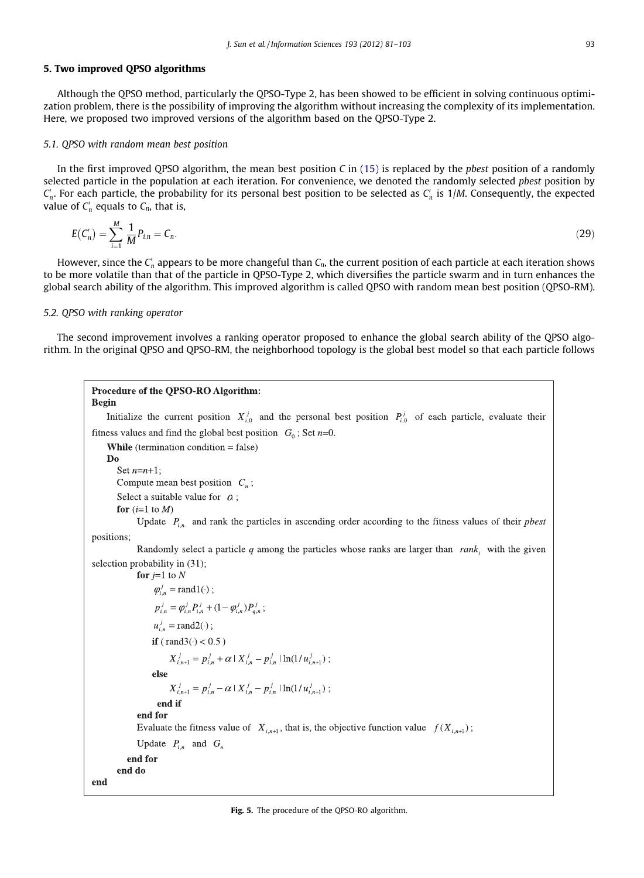# <span id="page-12-0"></span>5. Two improved QPSO algorithms

Although the QPSO method, particularly the QPSO-Type 2, has been showed to be efficient in solving continuous optimization problem, there is the possibility of improving the algorithm without increasing the complexity of its implementation. Here, we proposed two improved versions of the algorithm based on the QPSO-Type 2.

## 5.1. QPSO with random mean best position

In the first improved QPSO algorithm, the mean best position C in  $(15)$  is replaced by the *pbest* position of a randomly selected particle in the population at each iteration. For convenience, we denoted the randomly selected pbest position by  $C'_n$ . For each particle, the probability for its personal best position to be selected as  $C'_n$  is 1/M. Consequently, the expected value of  $C'_n$  equals to  $C_n$ , that is,

$$
E(C'_n) = \sum_{i=1}^{M} \frac{1}{M} P_{i,n} = C_n.
$$
\n(29)

However, since the  $C_n'$  appears to be more changeful than  $C_n$ , the current position of each particle at each iteration shows to be more volatile than that of the particle in QPSO-Type 2, which diversifies the particle swarm and in turn enhances the global search ability of the algorithm. This improved algorithm is called QPSO with random mean best position (QPSO-RM).

# 5.2. QPSO with ranking operator

The second improvement involves a ranking operator proposed to enhance the global search ability of the QPSO algorithm. In the original QPSO and QPSO-RM, the neighborhood topology is the global best model so that each particle follows

```
Procedure of the QPSO-RO Algorithm:
Begin
    Initialize the current position X_{i,0}^j and the personal best position P_{i,0}^j of each particle, evaluate their
fitness values and find the global best position G_0; Set n=0.
    While (termination condition = false)
    D<sub>0</sub>
       Set n=n+1;
       Compute mean best position C_n;
       Select a suitable value for \alpha;
       for (i=1 to M)
             Update P_{i} and rank the particles in ascending order according to the fitness values of their pbest
positions:
              Randomly select a particle q among the particles whose ranks are larger than rank_i with the given
selection probability in (31);
             for j=1 to N
                  \varphi<sub>i</sub><sup>i</sup><sub>i</sub> = rand1(·);
                   p_{i,n}^j = \varphi_{i,n}^j P_{i,n}^j + (1 - \varphi_{i,n}^j) P_{i,n}^j;u_{i,n}^{j} = \text{rand2}(\cdot);if (rand3(\cdot) < 0.5)
                       X_{i,n+1}^j = p_{i,n}^j + \alpha \, | \, X_{i,n}^j - p_{i,n}^j \, | \ln(1/u_{i,n+1}^j);
                  else
                       X_{i,n+1}^j = p_{i,n}^j - \alpha | X_{i,n}^j - p_{i,n}^j | \ln(1/u_{i,n+1}^j);end if
             end for
             Evaluate the fitness value of X_{i,n+1}, that is, the objective function value f(X_{i,n+1});
             Update P_{i,n} and G_nend for
       end do
end
```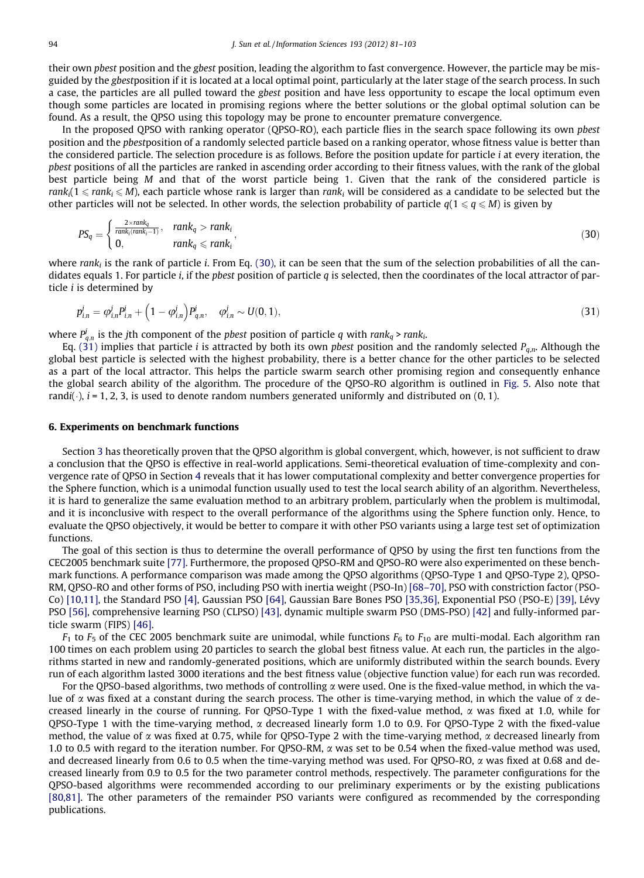their own *pbest* position and the *gbest* position, leading the algorithm to fast convergence. However, the particle may be misguided by the gbestposition if it is located at a local optimal point, particularly at the later stage of the search process. In such a case, the particles are all pulled toward the gbest position and have less opportunity to escape the local optimum even though some particles are located in promising regions where the better solutions or the global optimal solution can be found. As a result, the QPSO using this topology may be prone to encounter premature convergence.

In the proposed QPSO with ranking operator (QPSO-RO), each particle flies in the search space following its own pbest position and the pbestposition of a randomly selected particle based on a ranking operator, whose fitness value is better than the considered particle. The selection procedure is as follows. Before the position update for particle i at every iteration, the pbest positions of all the particles are ranked in ascending order according to their fitness values, with the rank of the global best particle being M and that of the worst particle being 1. Given that the rank of the considered particle is rank<sub>i</sub>(1  $\le$  rank<sub>i</sub>  $\le$  M), each particle whose rank is larger than rank<sub>i</sub> will be considered as a candidate to be selected but the other particles will not be selected. In other words, the selection probability of particle  $q(1 \leq q \leq M)$  is given by

$$
PS_q = \begin{cases} \frac{2 \times \text{rank}_q}{\text{rank}_i(\text{rank}_i - 1)}, & \text{rank}_q > \text{rank}_i \\ 0, & \text{rank}_q \leqslant \text{rank}_i \end{cases}
$$
 (30)

where rank<sub>i</sub> is the rank of particle i. From Eq. (30), it can be seen that the sum of the selection probabilities of all the candidates equals 1. For particle *i*, if the *pbest* position of particle q is selected, then the coordinates of the local attractor of particle  $i$  is determined by

$$
p_{i,n}^j = \varphi_{i,n}^j P_{i,n}^j + \left(1 - \varphi_{i,n}^j\right) P_{q,n}^j, \quad \varphi_{i,n}^j \sim U(0,1),\tag{31}
$$

where  $P_{q,n}^j$  is the jth component of the pbest position of particle q with rank<sub>q</sub> > rank<sub>i</sub>.

Eq. (31) implies that particle *i* is attracted by both its own *pbest* position and the randomly selected  $P_{q,n}$ . Although the global best particle is selected with the highest probability, there is a better chance for the other particles to be selected as a part of the local attractor. This helps the particle swarm search other promising region and consequently enhance the global search ability of the algorithm. The procedure of the QPSO-RO algorithm is outlined in [Fig. 5](#page-12-0). Also note that randi( $\cdot$ ),  $i = 1, 2, 3$ , is used to denote random numbers generated uniformly and distributed on  $(0, 1)$ .

# 6. Experiments on benchmark functions

Section 3 has theoretically proven that the QPSO algorithm is global convergent, which, however, is not sufficient to draw a conclusion that the QPSO is effective in real-world applications. Semi-theoretical evaluation of time-complexity and convergence rate of QPSO in Section 4 reveals that it has lower computational complexity and better convergence properties for the Sphere function, which is a unimodal function usually used to test the local search ability of an algorithm. Nevertheless, it is hard to generalize the same evaluation method to an arbitrary problem, particularly when the problem is multimodal, and it is inconclusive with respect to the overall performance of the algorithms using the Sphere function only. Hence, to evaluate the QPSO objectively, it would be better to compare it with other PSO variants using a large test set of optimization functions.

The goal of this section is thus to determine the overall performance of QPSO by using the first ten functions from the CEC2005 benchmark suite [\[77\].](#page-22-0) Furthermore, the proposed QPSO-RM and QPSO-RO were also experimented on these benchmark functions. A performance comparison was made among the QPSO algorithms (QPSO-Type 1 and QPSO-Type 2), QPSO-RM, QPSO-RO and other forms of PSO, including PSO with inertia weight (PSO-In) [\[68–70\],](#page-22-0) PSO with constriction factor (PSO-Co) [\[10,11\],](#page-20-0) the Standard PSO [\[4\],](#page-20-0) Gaussian PSO [\[64\]](#page-22-0), Gaussian Bare Bones PSO [\[35,36\],](#page-21-0) Exponential PSO (PSO-E) [\[39\],](#page-21-0) Lévy PSO [\[56\],](#page-21-0) comprehensive learning PSO (CLPSO) [\[43\]](#page-21-0), dynamic multiple swarm PSO (DMS-PSO) [\[42\]](#page-21-0) and fully-informed particle swarm (FIPS) [\[46\]](#page-21-0).

 $F_1$  to  $F_5$  of the CEC 2005 benchmark suite are unimodal, while functions  $F_6$  to  $F_{10}$  are multi-modal. Each algorithm ran 100 times on each problem using 20 particles to search the global best fitness value. At each run, the particles in the algorithms started in new and randomly-generated positions, which are uniformly distributed within the search bounds. Every run of each algorithm lasted 3000 iterations and the best fitness value (objective function value) for each run was recorded.

For the QPSO-based algorithms, two methods of controlling  $\alpha$  were used. One is the fixed-value method, in which the value of  $\alpha$  was fixed at a constant during the search process. The other is time-varying method, in which the value of  $\alpha$  decreased linearly in the course of running. For QPSO-Type 1 with the fixed-value method,  $\alpha$  was fixed at 1.0, while for QPSO-Type 1 with the time-varying method,  $\alpha$  decreased linearly form 1.0 to 0.9. For QPSO-Type 2 with the fixed-value method, the value of  $\alpha$  was fixed at 0.75, while for QPSO-Type 2 with the time-varying method,  $\alpha$  decreased linearly from 1.0 to 0.5 with regard to the iteration number. For QPSO-RM,  $\alpha$  was set to be 0.54 when the fixed-value method was used, and decreased linearly from 0.6 to 0.5 when the time-varying method was used. For OPSO-RO,  $\alpha$  was fixed at 0.68 and decreased linearly from 0.9 to 0.5 for the two parameter control methods, respectively. The parameter configurations for the QPSO-based algorithms were recommended according to our preliminary experiments or by the existing publications [\[80,81\].](#page-22-0) The other parameters of the remainder PSO variants were configured as recommended by the corresponding publications.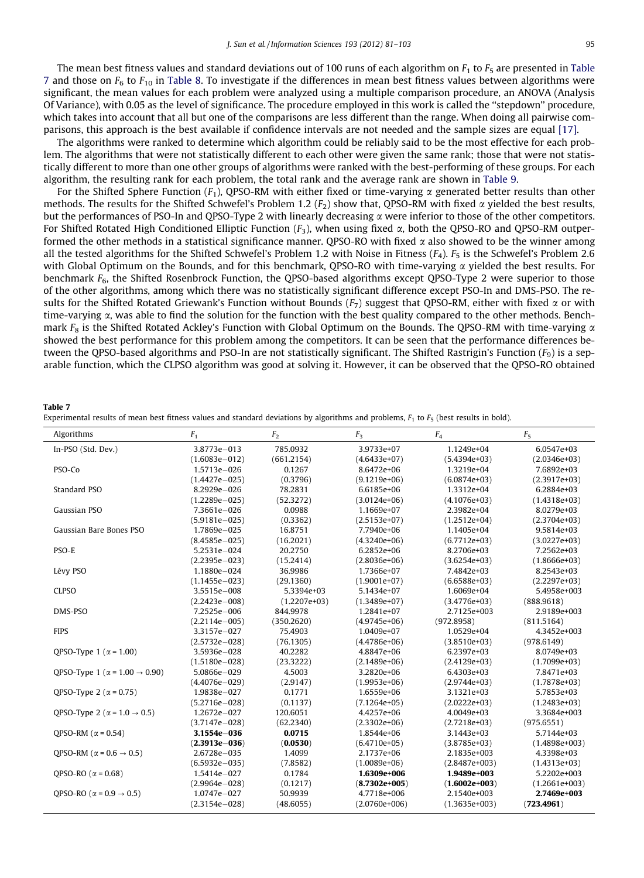The mean best fitness values and standard deviations out of 100 runs of each algorithm on  $F_1$  to  $F_5$  are presented in Table 7 and those on  $F_6$  to  $F_{10}$  in [Table 8.](#page-15-0) To investigate if the differences in mean best fitness values between algorithms were significant, the mean values for each problem were analyzed using a multiple comparison procedure, an ANOVA (Analysis Of Variance), with 0.05 as the level of significance. The procedure employed in this work is called the ''stepdown'' procedure, which takes into account that all but one of the comparisons are less different than the range. When doing all pairwise comparisons, this approach is the best available if confidence intervals are not needed and the sample sizes are equal [\[17\].](#page-21-0)

The algorithms were ranked to determine which algorithm could be reliably said to be the most effective for each problem. The algorithms that were not statistically different to each other were given the same rank; those that were not statistically different to more than one other groups of algorithms were ranked with the best-performing of these groups. For each algorithm, the resulting rank for each problem, the total rank and the average rank are shown in [Table 9.](#page-15-0)

For the Shifted Sphere Function ( $F_1$ ), QPSO-RM with either fixed or time-varying  $\alpha$  generated better results than other methods. The results for the Shifted Schwefel's Problem 1.2 ( $F_2$ ) show that, QPSO-RM with fixed  $\alpha$  yielded the best results, but the performances of PSO-In and OPSO-Type 2 with linearly decreasing  $\alpha$  were inferior to those of the other competitors. For Shifted Rotated High Conditioned Elliptic Function  $(F_3)$ , when using fixed  $\alpha$ , both the QPSO-RO and QPSO-RM outperformed the other methods in a statistical significance manner. QPSO-RO with fixed  $\alpha$  also showed to be the winner among all the tested algorithms for the Shifted Schwefel's Problem 1.2 with Noise in Fitness  $(F_4)$ .  $F_5$  is the Schwefel's Problem 2.6 with Global Optimum on the Bounds, and for this benchmark, OPSO-RO with time-varying  $\alpha$  yielded the best results. For benchmark  $F<sub>6</sub>$ , the Shifted Rosenbrock Function, the QPSO-based algorithms except QPSO-Type 2 were superior to those of the other algorithms, among which there was no statistically significant difference except PSO-In and DMS-PSO. The results for the Shifted Rotated Griewank's Function without Bounds ( $F_7$ ) suggest that QPSO-RM, either with fixed  $\alpha$  or with time-varying  $\alpha$ , was able to find the solution for the function with the best quality compared to the other methods. Benchmark  $F_8$  is the Shifted Rotated Ackley's Function with Global Optimum on the Bounds. The QPSO-RM with time-varying  $\alpha$ showed the best performance for this problem among the competitors. It can be seen that the performance differences between the QPSO-based algorithms and PSO-In are not statistically significant. The Shifted Rastrigin's Function  $(F_q)$  is a separable function, which the CLPSO algorithm was good at solving it. However, it can be observed that the QPSO-RO obtained

#### Table 7

| Experimental results of mean best fitness values and standard deviations by algorithms and problems, $F_1$ to $F_5$ (best results in bold). |  |  |  |  |
|---------------------------------------------------------------------------------------------------------------------------------------------|--|--|--|--|
|---------------------------------------------------------------------------------------------------------------------------------------------|--|--|--|--|

| Algorithms                                      | F <sub>1</sub>    | F <sub>2</sub> | $F_3$           | $F_{4}$         | $F_5$           |
|-------------------------------------------------|-------------------|----------------|-----------------|-----------------|-----------------|
| In-PSO (Std. Dev.)                              | 3.8773e-013       | 785.0932       | 3.9733e+07      | 1.1249e+04      | 6.0547e+03      |
|                                                 | $(1.6083e - 012)$ | (661.2154)     | $(4.6433e+07)$  | $(5.4394e+03)$  | $(2.0346e+03)$  |
| PSO-Co                                          | 1.5713e-026       | 0.1267         | 8.6472e+06      | 1.3219e+04      | 7.6892e+03      |
|                                                 | $(1.4427e - 025)$ | (0.3796)       | $(9.1219e+06)$  | $(6.0874e+03)$  | $(2.3917e+03)$  |
| Standard PSO                                    | 8.2929e-026       | 78.2831        | 6.6185e+06      | 1.3312e+04      | 6.2884e+03      |
|                                                 | $(1.2289e - 025)$ | (52.3272)      | $(3.0124e+06)$  | $(4.1076e+03)$  | $(1.4318e+03)$  |
| Gaussian PSO                                    | 7.3661e-026       | 0.0988         | 1.1669e+07      | 2.3982e+04      | 8.0279e+03      |
|                                                 | $(5.9181e - 025)$ | (0.3362)       | $(2.5153e+07)$  | $(1.2512e+04)$  | $(2.3704e+03)$  |
| Gaussian Bare Bones PSO                         | 1.7869e-025       | 16.8751        | 7.7940e+06      | 1.1405e+04      | 9.5814e+03      |
|                                                 | $(8.4585e - 025)$ | (16.2021)      | $(4.3240e+06)$  | $(6.7712e+03)$  | $(3.0227e+03)$  |
| PSO-E                                           | 5.2531e-024       | 20.2750        | 6.2852e+06      | 8.2706e+03      | 7.2562e+03      |
|                                                 | $(2.2395e - 023)$ | (15.2414)      | $(2.8036e+06)$  | $(3.6254e+03)$  | $(1.8666e+03)$  |
| Lévy PSO                                        | 1.1880e-024       | 36.9986        | 1.7366e+07      | 7.4842e+03      | 8.2543e+03      |
|                                                 | $(1.1455e - 023)$ | (29.1360)      | $(1.9001e+07)$  | $(6.6588e+03)$  | $(2.2297e+03)$  |
| <b>CLPSO</b>                                    | 3.5515e-008       | 5.3394e+03     | 5.1434e+07      | 1.6069e+04      | 5.4958e+003     |
|                                                 | $(2.2423e - 008)$ | $(1.2207e+03)$ | $(1.3489e+07)$  | $(3.4776e+03)$  | (888.9618)      |
| DMS-PSO                                         | 7.2525e-006       | 844.9978       | 1.2841e+07      | 2.7125e+003     | 2.9189e+003     |
|                                                 | $(2.2114e - 005)$ | (350.2620)     | $(4.9745e+06)$  | (972.8958)      | (811.5164)      |
| <b>FIPS</b>                                     | 3.3157e-027       | 75.4903        | 1.0409e+07      | 1.0529e+04      | 4.3452e+003     |
|                                                 | $(2.5732e - 028)$ | (76.1305)      | $(4.4786e+06)$  | $(3.8510e+03)$  | (978.6149)      |
| OPSO-Type 1 ( $\alpha$ = 1.00)                  | 3.5936e-028       | 40.2282        | 4.8847e+06      | 6.2397e+03      | 8.0749e+03      |
|                                                 | $(1.5180e - 028)$ | (23.3222)      | $(2.1489e+06)$  | $(2.4129e+03)$  | $(1.7099e+03)$  |
| OPSO-Type 1 ( $\alpha$ = 1.00 → 0.90)           | 5.0866e-029       | 4.5003         | 3.2820e+06      | 6.4303e+03      | 7.8471e+03      |
|                                                 | $(4.4076e - 029)$ | (2.9147)       | $(1.9953e+06)$  | $(2.9744e+03)$  | $(1.7878e+03)$  |
| QPSO-Type 2 ( $\alpha$ = 0.75)                  | 1.9838e-027       | 0.1771         | 1.6559e+06      | 3.1321e+03      | 5.7853e+03      |
|                                                 | $(5.2716e - 028)$ | (0.1137)       | $(7.1264e+05)$  | $(2.0222e+03)$  | $(1.2483e+03)$  |
| QPSO-Type 2 ( $\alpha$ = 1.0 $\rightarrow$ 0.5) | 1.2672e-027       | 120.6051       | 4.4257e+06      | 4.0049e+03      | 3.3684e+003     |
|                                                 | $(3.7147e - 028)$ | (62.2340)      | $(2.3302e+06)$  | $(2.7218e+03)$  | (975.6551)      |
| OPSO-RM ( $\alpha$ = 0.54)                      | 3.1554e-036       | 0.0715         | 1.8544e+06      | 3.1443e+03      | 5.7144e+03      |
|                                                 | $(2.3913e - 036)$ | (0.0530)       | $(6.4710e+05)$  | $(3.8785e+03)$  | $(1.4898e+003)$ |
| OPSO-RM ( $\alpha$ = 0.6 $\rightarrow$ 0.5)     | 2.6728e-035       | 1.4099         | 2.1737e+06      | 2.1835e+003     | 4.3398e+03      |
|                                                 | $(6.5932e - 035)$ | (7.8582)       | $(1.0089e+06)$  | $(2.8487e+003)$ | $(1.4313e+03)$  |
| OPSO-RO ( $\alpha$ = 0.68)                      | 1.5414e-027       | 0.1784         | 1.6309e+006     | 1.9489e+003     | 5.2202e+003     |
|                                                 | $(2.9964e - 028)$ | (0.1217)       | $(8.7302e+005)$ | $(1.6002e+003)$ | $(1.2661e+003)$ |
| OPSO-RO ( $\alpha$ = 0.9 $\rightarrow$ 0.5)     | 1.0747e-027       | 50.9939        | 4.7718e+006     | 2.1540e+003     | 2.7469e+003     |
|                                                 | $(2.3154e - 028)$ | (48.6055)      | $(2.0760e+006)$ | $(1.3635e+003)$ | (723.4961)      |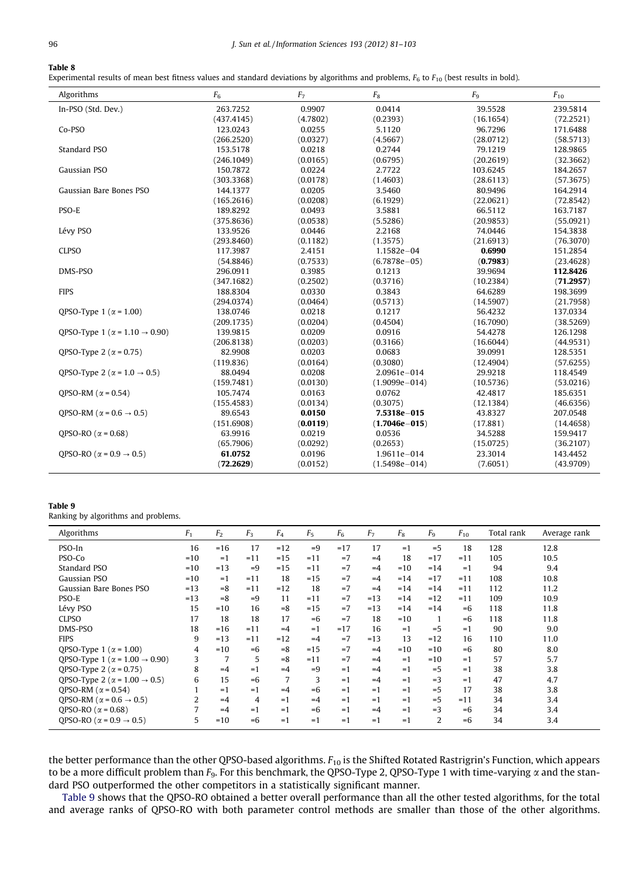### <span id="page-15-0"></span>Table 8

Experimental results of mean best fitness values and standard deviations by algorithms and problems,  $F_6$  to  $F_{10}$  (best results in bold).

| Algorithms                                        | F <sub>6</sub> | F <sub>7</sub> | $F_8$             | F <sub>9</sub> | $F_{10}$  |
|---------------------------------------------------|----------------|----------------|-------------------|----------------|-----------|
| In-PSO (Std. Dev.)                                | 263.7252       | 0.9907         | 0.0414            | 39.5528        | 239.5814  |
|                                                   | (437.4145)     | (4.7802)       | (0.2393)          | (16.1654)      | (72.2521) |
| Co-PSO                                            | 123.0243       | 0.0255         | 5.1120            | 96.7296        | 171.6488  |
|                                                   | (266.2520)     | (0.0327)       | (4.5667)          | (28.0712)      | (58.5713) |
| Standard PSO                                      | 153.5178       | 0.0218         | 0.2744            | 79.1219        | 128.9865  |
|                                                   | (246.1049)     | (0.0165)       | (0.6795)          | (20.2619)      | (32.3662) |
| Gaussian PSO                                      | 150,7872       | 0.0224         | 2,7722            | 103.6245       | 184.2657  |
|                                                   | (303.3368)     | (0.0178)       | (1.4603)          | (28.6113)      | (57.3675) |
| Gaussian Bare Bones PSO                           | 144.1377       | 0.0205         | 3.5460            | 80.9496        | 164.2914  |
|                                                   | (165.2616)     | (0.0208)       | (6.1929)          | (22.0621)      | (72.8542) |
| PSO-E                                             | 189.8292       | 0.0493         | 3.5881            | 66.5112        | 163.7187  |
|                                                   | (375.8636)     | (0.0538)       | (5.5286)          | (20.9853)      | (55.0921) |
| Lévy PSO                                          | 133.9526       | 0.0446         | 2.2168            | 74.0446        | 154.3838  |
|                                                   | (293.8460)     | (0.1182)       | (1.3575)          | (21.6913)      | (76.3070) |
| <b>CLPSO</b>                                      | 117.3987       | 2.4151         | 1.1582e-04        | 0.6990         | 151.2854  |
|                                                   | (54.8846)      | (0.7533)       | $(6.7878e - 05)$  | (0.7983)       | (23.4628) |
| DMS-PSO                                           | 296.0911       | 0.3985         | 0.1213            | 39.9694        | 112.8426  |
|                                                   | (347.1682)     | (0.2502)       | (0.3716)          | (10.2384)      | (71.2957) |
| <b>FIPS</b>                                       | 188.8304       | 0.0330         | 0.3843            | 64.6289        | 198.3699  |
|                                                   | (294.0374)     | (0.0464)       | (0.5713)          | (14.5907)      | (21.7958) |
| QPSO-Type 1 ( $\alpha$ = 1.00)                    | 138.0746       | 0.0218         | 0.1217            | 56.4232        | 137.0334  |
|                                                   | (209.1735)     | (0.0204)       | (0.4504)          | (16.7090)      | (38.5269) |
| QPSO-Type 1 ( $\alpha$ = 1.10 $\rightarrow$ 0.90) | 139.9815       | 0.0209         | 0.0916            | 54.4278        | 126.1298  |
|                                                   | (206.8138)     | (0.0203)       | (0.3166)          | (16.6044)      | (44.9531) |
| QPSO-Type 2 ( $\alpha$ = 0.75)                    | 82.9908        | 0.0203         | 0.0683            | 39.0991        | 128.5351  |
|                                                   | (119.836)      | (0.0164)       | (0.3080)          | (12.4904)      | (57.6255) |
| OPSO-Type 2 ( $\alpha$ = 1.0 $\rightarrow$ 0.5)   | 88.0494        | 0.0208         | 2.0961e-014       | 29.9218        | 118,4549  |
|                                                   | (159.7481)     | (0.0130)       | $(1.9099e - 014)$ | (10.5736)      | (53.0216) |
| OPSO-RM ( $\alpha$ = 0.54)                        | 105.7474       | 0.0163         | 0.0762            | 42.4817        | 185.6351  |
|                                                   | (155.4583)     | (0.0134)       | (0.3075)          | (12.1384)      | (46.6356) |
| OPSO-RM ( $\alpha$ = 0.6 $\rightarrow$ 0.5)       | 89.6543        | 0.0150         | 7.5318e-015       | 43.8327        | 207.0548  |
|                                                   | (151.6908)     | (0.0119)       | $(1.7046e - 015)$ | (17.881)       | (14.4658) |
| OPSO-RO ( $\alpha$ = 0.68)                        | 63.9916        | 0.0219         | 0.0536            | 34.5288        | 159.9417  |
|                                                   | (65.7906)      | (0.0292)       | (0.2653)          | (15.0725)      | (36.2107) |
| OPSO-RO ( $\alpha$ = 0.9 $\rightarrow$ 0.5)       | 61.0752        | 0.0196         | 1.9611e-014       | 23.3014        | 143.4452  |
|                                                   | (72.2629)      | (0.0152)       | $(1.5498e - 014)$ | (7.6051)       | (43.9709) |

#### Table 9

Ranking by algorithms and problems.

| Algorithms                                        | F <sub>1</sub> | F <sub>2</sub> | $F_3$ | $F_4$ | $F_5$ | F <sub>6</sub> | F <sub>7</sub> | $F_8$ | F <sub>9</sub> | $F_{10}$ | Total rank | Average rank |
|---------------------------------------------------|----------------|----------------|-------|-------|-------|----------------|----------------|-------|----------------|----------|------------|--------------|
| PSO-In                                            | 16             | $=16$          | 17    | $=12$ | $=9$  | $=17$          | 17             | $=1$  | $=$ 5          | 18       | 128        | 12.8         |
| PSO-Co                                            | $=10$          | $=1$           | $=11$ | $=15$ | $=11$ | $=7$           | $=4$           | 18    | $=17$          | $=11$    | 105        | 10.5         |
| Standard PSO                                      | $=10$          | $=13$          | $=9$  | $=15$ | $=11$ | $=7$           | $=4$           | $=10$ | $=14$          | $=1$     | 94         | 9.4          |
| Gaussian PSO                                      | $=10$          | $=1$           | $=11$ | 18    | $=15$ | $=7$           | $=4$           | $=14$ | $=17$          | $=11$    | 108        | 10.8         |
| Gaussian Bare Bones PSO                           | $=13$          | $=8$           | $=11$ | $=12$ | 18    | $=7$           | $=4$           | $=14$ | $=14$          | $=11$    | 112        | 11.2         |
| PSO-E                                             | $=13$          | $=8$           | $=9$  | 11    | $=11$ | $=7$           | $=13$          | $=14$ | $=12$          | $=11$    | 109        | 10.9         |
| Lévy PSO                                          | 15             | $=10$          | 16    | $=8$  | $=15$ | $=7$           | $=13$          | $=14$ | $=14$          | $=6$     | 118        | 11.8         |
| <b>CLPSO</b>                                      | 17             | 18             | 18    | 17    | $=6$  | $=7$           | 18             | $=10$ |                | $=6$     | 118        | 11.8         |
| DMS-PSO                                           | 18             | $=16$          | $=11$ | $=4$  | $=1$  | $=17$          | 16             | $=1$  | $=$ 5          | $=1$     | 90         | 9.0          |
| <b>FIPS</b>                                       | 9              | $=13$          | $=11$ | $=12$ | $=4$  | $=7$           | $=13$          | 13    | $=12$          | 16       | 110        | 11.0         |
| QPSO-Type 1 ( $\alpha$ = 1.00)                    | 4              | $=10$          | $=6$  | $= 8$ | $=15$ | $=7$           | $=4$           | $=10$ | $=10$          | $=6$     | 80         | 8.0          |
| QPSO-Type 1 ( $\alpha$ = 1.00 $\rightarrow$ 0.90) | 3              | 7              | 5     | $= 8$ | $=11$ | $=7$           | $=4$           | $=1$  | $=10$          | $=1$     | 57         | 5.7          |
| QPSO-Type 2 ( $\alpha$ = 0.75)                    | 8              | $=4$           | $=1$  | $=4$  | $=9$  | $=1$           | $=4$           | $=1$  | $=$ 5          | $=1$     | 38         | 3.8          |
| QPSO-Type 2 ( $\alpha$ = 1.00 $\rightarrow$ 0.5)  | 6              | 15             | $=6$  | 7     | 3     | $=1$           | $=4$           | $=1$  | $=$ 3          | $=1$     | 47         | 4.7          |
| OPSO-RM ( $\alpha$ = 0.54)                        |                | $=1$           | $=1$  | $=4$  | $=6$  | $=1$           | $=1$           | $=1$  | $=$ 5          | 17       | 38         | 3.8          |
| OPSO-RM ( $\alpha$ = 0.6 $\rightarrow$ 0.5)       | 2              | $=4$           | 4     | $=1$  | $=4$  | $=1$           | $=1$           | $=1$  | $=$ 5          | $=11$    | 34         | 3.4          |
| OPSO-RO ( $\alpha$ = 0.68)                        | 7              | $=4$           | $=1$  | $=1$  | $=6$  | $=1$           | $=4$           | $=1$  | $=$ 3          | $=6$     | 34         | 3.4          |
| OPSO-RO ( $\alpha$ = 0.9 $\rightarrow$ 0.5)       | 5              | $=10$          | $=6$  | $=1$  | $=1$  | $=1$           | $=1$           | $=1$  | 2              | $=6$     | 34         | 3.4          |

the better performance than the other QPSO-based algorithms.  $F_{10}$  is the Shifted Rotated Rastrigrin's Function, which appears to be a more difficult problem than  $F_9$ . For this benchmark, the QPSO-Type 2, QPSO-Type 1 with time-varying  $\alpha$  and the standard PSO outperformed the other competitors in a statistically significant manner.

Table 9 shows that the QPSO-RO obtained a better overall performance than all the other tested algorithms, for the total and average ranks of QPSO-RO with both parameter control methods are smaller than those of the other algorithms.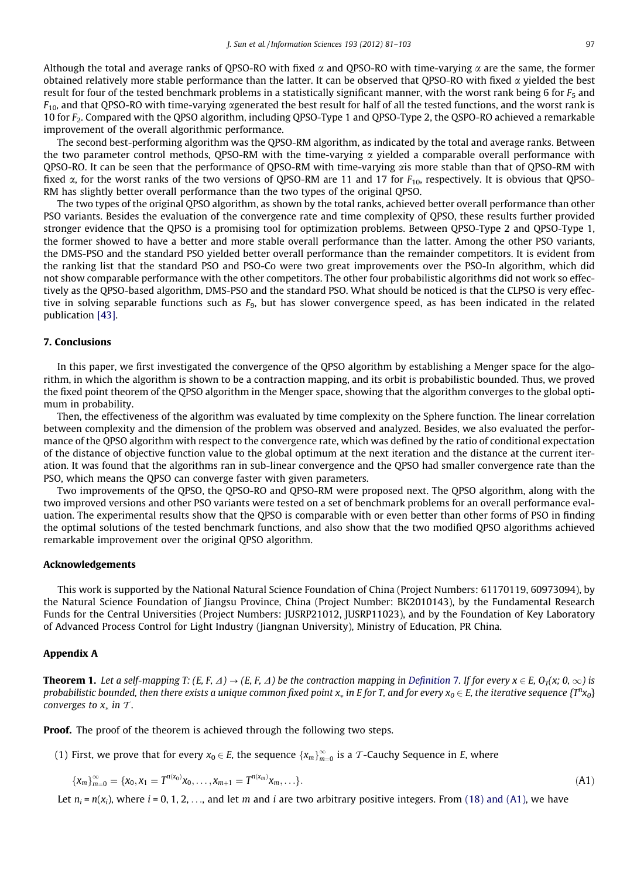<span id="page-16-0"></span>Although the total and average ranks of QPSO-RO with fixed  $\alpha$  and QPSO-RO with time-varying  $\alpha$  are the same, the former obtained relatively more stable performance than the latter. It can be observed that QPSO-RO with fixed  $\alpha$  yielded the best result for four of the tested benchmark problems in a statistically significant manner, with the worst rank being 6 for  $F_5$  and  $F_{10}$  and that QPSO-RO with time-varying agenerated the best result for half of all the tested functions, and the worst rank is 10 for F2. Compared with the QPSO algorithm, including QPSO-Type 1 and QPSO-Type 2, the QSPO-RO achieved a remarkable improvement of the overall algorithmic performance.

The second best-performing algorithm was the QPSO-RM algorithm, as indicated by the total and average ranks. Between the two parameter control methods, QPSO-RM with the time-varying  $\alpha$  yielded a comparable overall performance with QPSO-RO. It can be seen that the performance of QPSO-RM with time-varying ais more stable than that of QPSO-RM with fixed  $\alpha$ , for the worst ranks of the two versions of QPSO-RM are 11 and 17 for  $F_{10}$ , respectively. It is obvious that QPSO-RM has slightly better overall performance than the two types of the original QPSO.

The two types of the original QPSO algorithm, as shown by the total ranks, achieved better overall performance than other PSO variants. Besides the evaluation of the convergence rate and time complexity of QPSO, these results further provided stronger evidence that the QPSO is a promising tool for optimization problems. Between QPSO-Type 2 and QPSO-Type 1, the former showed to have a better and more stable overall performance than the latter. Among the other PSO variants, the DMS-PSO and the standard PSO yielded better overall performance than the remainder competitors. It is evident from the ranking list that the standard PSO and PSO-Co were two great improvements over the PSO-In algorithm, which did not show comparable performance with the other competitors. The other four probabilistic algorithms did not work so effectively as the QPSO-based algorithm, DMS-PSO and the standard PSO. What should be noticed is that the CLPSO is very effective in solving separable functions such as  $F_9$ , but has slower convergence speed, as has been indicated in the related publication [\[43\].](#page-21-0)

# 7. Conclusions

In this paper, we first investigated the convergence of the QPSO algorithm by establishing a Menger space for the algorithm, in which the algorithm is shown to be a contraction mapping, and its orbit is probabilistic bounded. Thus, we proved the fixed point theorem of the QPSO algorithm in the Menger space, showing that the algorithm converges to the global optimum in probability.

Then, the effectiveness of the algorithm was evaluated by time complexity on the Sphere function. The linear correlation between complexity and the dimension of the problem was observed and analyzed. Besides, we also evaluated the performance of the QPSO algorithm with respect to the convergence rate, which was defined by the ratio of conditional expectation of the distance of objective function value to the global optimum at the next iteration and the distance at the current iteration. It was found that the algorithms ran in sub-linear convergence and the QPSO had smaller convergence rate than the PSO, which means the QPSO can converge faster with given parameters.

Two improvements of the QPSO, the QPSO-RO and QPSO-RM were proposed next. The QPSO algorithm, along with the two improved versions and other PSO variants were tested on a set of benchmark problems for an overall performance evaluation. The experimental results show that the QPSO is comparable with or even better than other forms of PSO in finding the optimal solutions of the tested benchmark functions, and also show that the two modified QPSO algorithms achieved remarkable improvement over the original QPSO algorithm.

# Acknowledgements

This work is supported by the National Natural Science Foundation of China (Project Numbers: 61170119, 60973094), by the Natural Science Foundation of Jiangsu Province, China (Project Number: BK2010143), by the Fundamental Research Funds for the Central Universities (Project Numbers: JUSRP21012, JUSRP11023), and by the Foundation of Key Laboratory of Advanced Process Control for Light Industry (Jiangnan University), Ministry of Education, PR China.

# Appendix A

**Theorem 1.** Let a self-mapping T:  $(E, F, \Delta) \rightarrow (E, F, \Delta)$  be the contraction mapping in [Definition](#page-5-0) 7. If for every  $x \in E$ ,  $O_T(x; 0, \infty)$  is probabilistic bounded, then there exists a unique common fixed point  $x_*$  in E for T, and for every  $x_0\in E$ , the iterative sequence  $\{T^nx_0\}$ converges to  $x_*$  in  $T$ .

**Proof.** The proof of the theorem is achieved through the following two steps.

(1) First, we prove that for every  $x_0 \in E$ , the sequence  $\{x_m\}_{m=0}^\infty$  is a  $\mathcal T$ -Cauchy Sequence in  $E$ , where

$$
{\{x_m\}}_{m=0}^{\infty} = {\{x_0, x_1 = T^{n(x_0)}x_0, \ldots, x_{m+1} = T^{n(x_m)}x_m, \ldots\}}.
$$
\n(A1)

Let  $n_i = n(x_i)$ , where  $i = 0, 1, 2, \ldots$ , and let m and i are two arbitrary positive integers. From [\(18\) and \(A1\),](#page-5-0) we have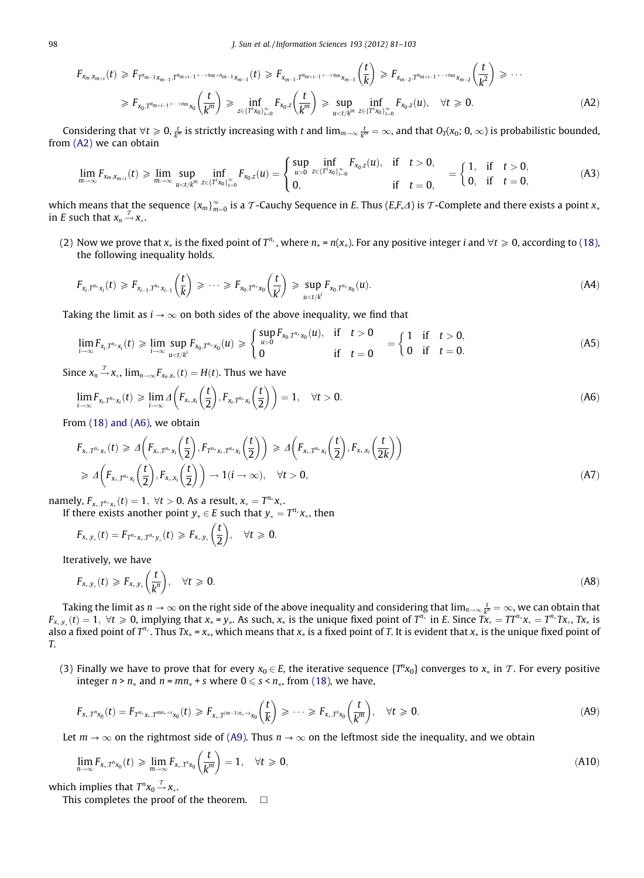$$
F_{x_m, x_{m+i}}(t) \geq F_{T^{n_{m-1}}x_{m-1}, T^{n_{m+i-1}+\cdots+n_m+n_{m-1}}x_{m-1}}(t) \geq F_{x_{m-1}, T^{n_{m+i-1}+\cdots+n_m}x_{m-1}}\left(\frac{t}{k}\right) \geq F_{x_{m-2}, T^{n_{m+i-1}+\cdots+n_m}x_{m-2}}\left(\frac{t}{k^2}\right) \geq \cdots
$$

$$
\geq F_{x_0, T^{n_{m+i-1}+\cdots+n_m}x_0}\left(\frac{t}{k^m}\right) \geq \inf_{z \in \{T^3x_0\}_{s=0}^{\infty}} F_{x_0, z}\left(\frac{t}{k^m}\right) \geq \sup_{u < t/k^m} \inf_{z \in \{T^3x_0\}_{s=0}^{\infty}} F_{x_0, z}(u), \quad \forall t \geq 0. \tag{A2}
$$

Considering that  $\forall t\geqslant 0, \frac{t}{k^m}$  is strictly increasing with  $t$  and  $\lim_{m\to\infty}\frac{t}{k^m}=\infty$ , and that  $O_T(x_0;0,\infty)$  is probabilistic bounded, from [\(A2\)](#page-16-0) we can obtain

$$
\lim_{m\to\infty} F_{x_m,x_{m+i}}(t) \geqslant \lim_{m\to\infty} \sup_{u < t/k^m} \inf_{z \in \{T^s x_0\}_{s=0}^\infty} F_{x_0,z}(u) = \begin{cases} \sup_{u > 0} \inf_{z \in \{T^s x_0\}_{s=0}^\infty} F_{x_0,z}(u), & \text{if} \quad t > 0, \\ 0, & \text{if} \quad t=0, \end{cases} = \begin{cases} 1, & \text{if} \quad t > 0, \\ 0, & \text{if} \quad t=0, \end{cases} \tag{A3}
$$

which means that the sequence  $\{x_m\}_{m=0}^\infty$  is a  $\mathcal T$ -Cauchy Sequence in E. Thus (E,F, $\Lambda$ ) is  $\mathcal T$ -Complete and there exists a point  $x_*$ in *E* such that  $x_n \stackrel{T}{\rightarrow} x_*$ .

(2) Now we prove that  $x_*$  is the fixed point of  $T^n$ , where  $n_* = n(x_*)$ . For any positive integer i and  $\forall t \ge 0$ , according to [\(18\),](#page-5-0) the following inequality holds.

$$
F_{x_i,T^{n_*}x_i}(t) \geq F_{x_{i-1},T^{n_*}x_{i-1}}\left(\frac{t}{k}\right) \geq \cdots \geq F_{x_0,T^{n_*}x_0}\left(\frac{t}{k^i}\right) \geq \sup_{u \leq t/k^i} F_{x_0,T^{n_*}x_0}(u).
$$
\n(A4)

Taking the limit as  $i \rightarrow \infty$  on both sides of the above inequality, we find that

$$
\lim_{i \to \infty} F_{x_i, T^{n_*} x_i}(t) \geq \lim_{i \to \infty} \sup_{u < t/k^i} F_{x_0, T^{n_*} x_0}(u) \geq \begin{cases} \sup_{u > 0} F_{x_0, T^{n_*} x_0}(u), & \text{if } t > 0 \\ 0 & \text{if } t = 0 \end{cases} = \begin{cases} 1 & \text{if } t > 0, \\ 0 & \text{if } t = 0. \end{cases} \tag{A5}
$$

Since  $x_n \stackrel{\mathcal{T}}{\rightarrow} x_*$ ,  $\lim_{n \to \infty} F_{x_n,x_*}(t) = H(t)$ . Thus we have

$$
\lim_{i\to\infty} F_{x_i,T^{n_*}x_i}(t) \geq \lim_{i\to\infty} \Delta\left(F_{x_*,x_i}\left(\frac{t}{2}\right), F_{x_i,T^{n_*}x_i}\left(\frac{t}{2}\right)\right) = 1, \quad \forall t > 0.
$$
\n(A6)

From [\(18\) and \(A6\)](#page-5-0), we obtain

$$
F_{x_*,T^{n_*}x_*}(t) \geq \Delta\left(F_{x_*,T^{n_*}x_i}\left(\frac{t}{2}\right), F_{T^{n_*}x_*,T^{n_*}x_i}\left(\frac{t}{2}\right)\right) \geq \Delta\left(F_{x_*,T^{n_*}x_i}\left(\frac{t}{2}\right), F_{x_*,x_i}\left(\frac{t}{2k}\right)\right)
$$
  

$$
\geq \Delta\left(F_{x_*,T^{n_*}x_i}\left(\frac{t}{2}\right), F_{x_*,x_i}\left(\frac{t}{2}\right)\right) \to 1(i \to \infty), \quad \forall t > 0,
$$
 (A7)

namely,  $F_{x_*,T^{n_*}x_*}(t) = 1, \ \forall t > 0$ . As a result,  $x_* = T^{n_*}x_*$ .

If there exists another point  $y_* \in E$  such that  $y_* = T^{n_*}x_*$ , then

$$
F_{x_*,y_*}(t) = F_{T^{n_*}x_*,T^{n_*}y_*}(t) \geq F_{x_*,y_*}\left(\frac{t}{2}\right), \quad \forall t \geq 0.
$$

Iteratively, we have

$$
F_{x_*,y_*}(t) \geqslant F_{x_*,y_*}\left(\frac{t}{k^n}\right), \quad \forall t \geqslant 0. \tag{A8}
$$

Taking the limit as  $n\to\infty$  on the right side of the above inequality and considering that  $\lim_{n\to\infty}\frac{t}{k^n}=\infty$ , we can obtain that  $F_{x_*,y_*}(t) = 1$ ,  $\forall t \ge 0$ , implying that  $x_* = y_*$ . As such,  $x_*$  is the unique fixed point of  $T^{n_*}$  in E. Since  $\hat{Tx_*} = TT^{n_*}x_* = T^{n_*}Tx_*, Tx_*$  is also a fixed point of  $T^n$ . Thus  $Tx_* = x_*$ , which means that  $x_*$  is a fixed point of T. It is evident that  $x_*$  is the unique fixed point of T.

(3) Finally we have to prove that for every  $x_0 \in E$ , the iterative sequence  $\{T^n x_0\}$  converges to  $x_*$  in  $\mathcal T$ . For every positive integer  $n > n_{*}$  and  $n = mn_{*} + s$  where  $0 \leq s \leq n_{*}$ , from [\(18\)](#page-5-0), we have,

$$
F_{x_*,T^{n}x_0}(t) = F_{T^{n_*}x_*,T^{mn_*+s}x_0}(t) \geq F_{x_*,T^{(m-1)n_*+s}x_0}\left(\frac{t}{k}\right) \geq \cdots \geq F_{x_*,T^{s}x_0}\left(\frac{t}{k^m}\right), \quad \forall t \geq 0.
$$
\n(A9)

Let  $m \to \infty$  on the rightmost side of (A9). Thus  $n \to \infty$  on the leftmost side the inequality, and we obtain

$$
\lim_{n\to\infty} F_{x_*,T^n x_0}(t) \geq \lim_{m\to\infty} F_{x_*,T^s x_0}\left(\frac{t}{k^m}\right) = 1, \quad \forall t \geq 0,
$$
\n(A10)

which implies that  $T^n x_0 \stackrel{T}{\rightarrow} x_*$ .

This completes the proof of the theorem.  $\Box$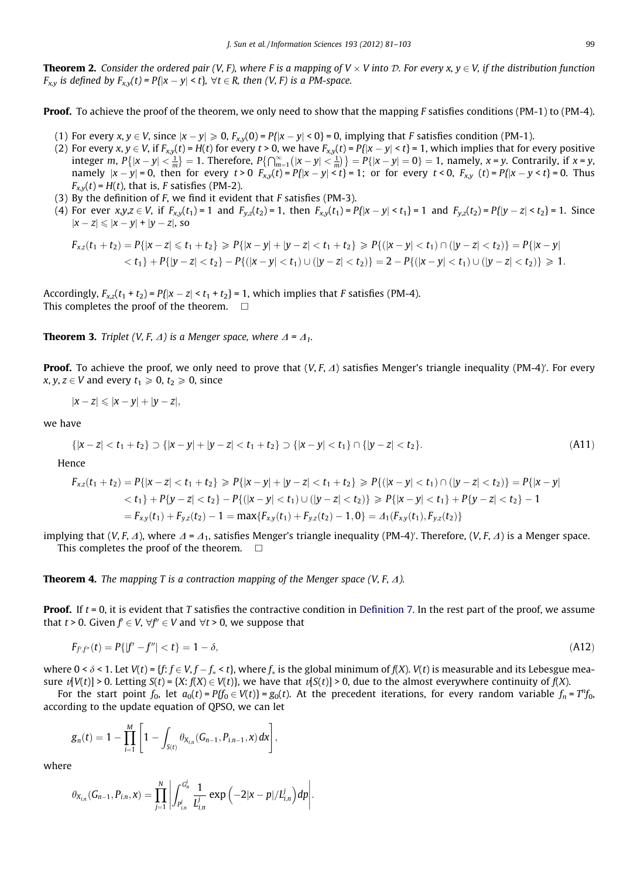**Theorem 2.** Consider the ordered pair (V, F), where F is a mapping of  $V \times V$  into D. For every  $x, y \in V$ , if the distribution function  $F_{x,y}$  is defined by  $F_{x,y}(t)$  =  $P\{|x-y| \leq t\}, \ \forall t \in R$ , then (V, F) is a PM-space.

Proof. To achieve the proof of the theorem, we only need to show that the mapping F satisfies conditions (PM-1) to (PM-4).

- (1) For every x,  $y \in V$ , since  $|x-y| \ge 0$ ,  $F_{x,y}(0) = P\{|x-y| \le 0\} = 0$ , implying that F satisfies condition (PM-1).
- (2) For every x,  $y \in V$ , if  $F_{x,y}(t) = H(t)$  for every  $t > 0$ , we have  $F_{x,y}(t) = P\{ |x y| \le t \} = 1$ , which implies that for every positive integer m,  $P\{|x-y| < \frac{1}{m}\} = 1$ . Therefore,  $P\{\bigcap_{m=1}^{\infty}(|x-y| < \frac{1}{m}\}\} = P\{|x-y| = 0\} = 1$ , namely,  $x = y$ . Contrarily, if  $x = y$ , namely  $|x-y|=0$ , then for every  $t>0$   $F_{x,y}(t)=P\{|x-y| \le t\} = 1$ ; or for every  $t < 0$ ,  $F_{x,y}(t)=P\{|x-y| \le t\} = 0$ . Thus  $F_{x,y}(t) = H(t)$ , that is, F satisfies (PM-2).
- (3) By the definition of  $F$ , we find it evident that  $F$  satisfies (PM-3).
- (4) For ever  $x,y,z \in V$ , if  $F_{x,y}(t_1) = 1$  and  $F_{y,z}(t_2) = 1$ , then  $F_{x,y}(t_1) = P\{|x y| < t_1\} = 1$  and  $F_{y,z}(t_2) = P\{|y z| < t_2\} = 1$ . Since  $|x-z| \leqslant |x-y| + |y-z|$ , so

$$
F_{xz}(t_1+t_2) = P\{|x-z| \leq t_1+t_2\} \geq P\{|x-y|+|y-z| < t_1+t_2\} \geq P\{|x-y| < t_1) \cap (|y-z| < t_2)\} = P\{|x-y| < t_1\} + P\{|y-z| < t_2\} - P\{|(x-y| < t_1) \cup (|y-z| < t_2)\} = 2 - P\{|(x-y| < t_1) \cup (|y-z| < t_2)\} \geq 1.
$$

Accordingly,  $F_{x,z}(t_1 + t_2) = P{ |x - z| < t_1 + t_2 } = 1$ , which implies that F satisfies (PM-4). This completes the proof of the theorem.  $\Box$ 

**Theorem 3.** Triplet (V, F,  $\Delta$ ) is a Menger space, where  $\Delta = \Delta_1$ .

**Proof.** To achieve the proof, we only need to prove that  $(V, F, \varDelta)$  satisfies Menger's triangle inequality (PM-4)'. For every x, y,  $z \in V$  and every  $t_1 \ge 0$ ,  $t_2 \ge 0$ , since

$$
|x-z|\leqslant |x-y|+|y-z|,
$$

we have

$$
\{|x-z| < t_1 + t_2\} \supset \{|x-y| + |y-z| < t_1 + t_2\} \supset \{|x-y| < t_1\} \cap \{|y-z| < t_2\}.\tag{A11}
$$

Hence

$$
F_{xz}(t_1 + t_2) = P\{|x - z| < t_1 + t_2\} \ge P\{|x - y| + |y - z| < t_1 + t_2\} \ge P\{|x - y| < t_1\} \cap (|y - z| < t_2)\} = P\{|x - y| < t_1\} + P\{y - z| < t_2\} - P\{|x - y| < t_1\} \cup (|y - z| < t_2)\} \ge P\{|x - y| < t_1\} + P\{y - z| < t_2\} - 1
$$
\n
$$
= F_{xy}(t_1) + F_{yz}(t_2) - 1 = \max\{F_{xy}(t_1) + F_{yz}(t_2) - 1, 0\} = A_1(F_{xy}(t_1), F_{yz}(t_2))
$$

implying that (V, F,  $\varDelta$ ), where  $\varDelta$  =  $\varDelta_1$ , satisfies Menger's triangle inequality (PM-4)'. Therefore, (V, F,  $\varDelta$ ) is a Menger space. This completes the proof of the theorem.  $\Box$ 

**Theorem 4.** The mapping T is a contraction mapping of the Menger space (V, F,  $\Delta$ ).

**Proof.** If  $t = 0$ , it is evident that T satisfies the contractive condition in [Definition 7.](#page-5-0) In the rest part of the proof, we assume that  $t \geq 0$ . Given  $f \in V$ ,  $\forall f'' \in V$  and  $\forall t \geq 0$ , we suppose that

$$
F_{f'f''}(t) = P\{ |f' - f''| < t \} = 1 - \delta,\tag{A12}
$$

where 0 <  $\delta$  < 1. Let V(t) = {f: f  $\in$  V, f  $-f_*$  < t}, where  $f_*$  is the global minimum of f(X). V(t) is measurable and its Lebesgue measure  $v[V(t)] > 0$ . Letting  $S(t) = {X: f(X) \in V(t)}$ , we have that  $v[S(t)] > 0$ , due to the almost everywhere continuity of  $f(X)$ .

For the start point  $f_0$ , let  $a_0(t) = Pf_0 \in V(t)$  =  $g_0(t)$ . At the precedent iterations, for every random variable  $f_n = T^n f_0$ , according to the update equation of QPSO, we can let

$$
g_n(t) = 1 - \prod_{i=1}^M \left[1 - \int_{S(t)} \theta_{X_{i,n}}(G_{n-1}, P_{i,n-1}, x)\,dx\right],
$$

where

$$
\theta_{X_{i,n}}(G_{n-1}, P_{i,n}, x) = \prod_{j=1}^N \left| \int_{P_{i,n}^j}^{Q_n^j} \frac{1}{L_{i,n}^j} \exp \left( -2|x-p|/L_{i,n}^j \right) dp \right|.
$$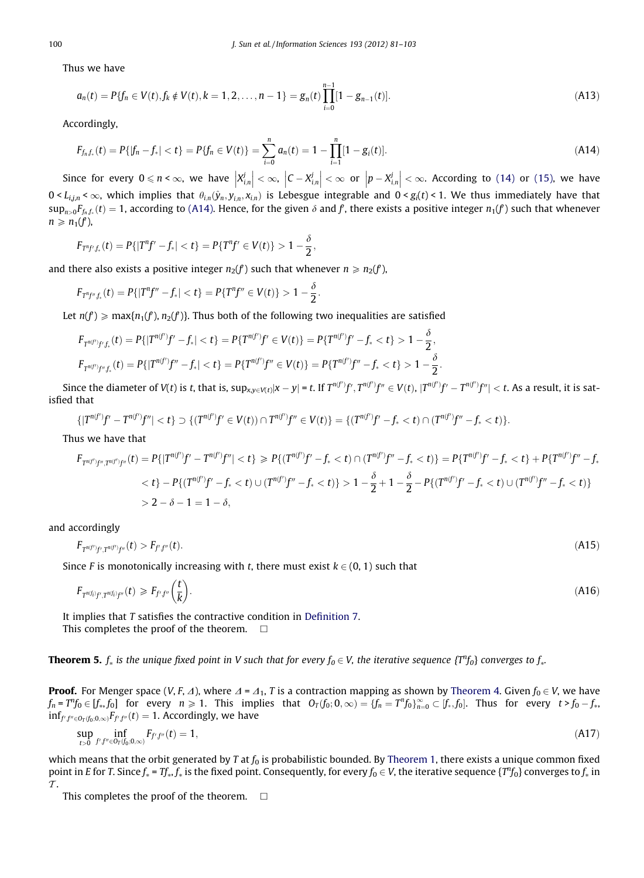<span id="page-19-0"></span>Thus we have

$$
a_n(t) = P\{f_n \in V(t), f_k \notin V(t), k = 1, 2, \dots, n - 1\} = g_n(t) \prod_{i=0}^{n-1} [1 - g_{n-1}(t)].
$$
\n(A13)

Accordingly,

$$
F_{f_n,f_*}(t) = P\{ |f_n - f_*| < t \} = P\{f_n \in V(t)\} = \sum_{i=0}^n a_n(t) = 1 - \prod_{i=1}^n [1 - g_i(t)].\tag{A14}
$$

Since for every  $0 \leqslant n < \infty$ , we have  $\left| X_{i,n}^{j} \right|$  $\begin{array}{c} \hline \end{array}$  $\vert < \infty$ ,  $\vert C - X_{i,n}^j$  $\begin{array}{c} \begin{array}{c} \begin{array}{c} \end{array} \end{array} \end{array}$  $\vert < \infty$  or  $\vert p - X^j_{i,n} \vert$  $\begin{array}{c} \begin{array}{c} \begin{array}{c} \end{array} \end{array} \end{array}$  $\vert < \infty$ . According to [\(14\)](#page-3-0) or [\(15\),](#page-3-0) we have  $0 < L_{i,j,n} < \infty$ , which implies that  $\theta_{i,n}(\hat{y}_n, y_{i,n}, x_{i,n})$  is Lebesgue integrable and  $0 < g_i(t) < 1$ . We thus immediately have that  $\sup_{n>0}F_{f_n,f_*}(t)=1$ , according to (A14). Hence, for the given  $\delta$  and  $f$ , there exists a positive integer  $n_1(f)$  such that whenever  $n \geqslant n_1(f)$ ,

$$
F_{T^n f', f_*}(t) = P\{|T^n f' - f_*| < t\} = P\{T^n f' \in V(t)\} > 1 - \frac{\delta}{2},
$$

and there also exists a positive integer  $n_2(f)$  such that whenever  $n\geqslant n_2(f)$ ,

$$
F_{T^n f'',f_*}(t) = P\{|T^n f'' - f_*| < t\} = P\{T^n f'' \in V(t)\} > 1 - \frac{\delta}{2}.
$$

Let  $n(f) \geqslant \max\{n_1(f'), n_2(f')\}.$  Thus both of the following two inequalities are satisfied

$$
F_{T^{n(f')}f',f_*}(t) = P\{|T^{n(f')}f' - f_*| < t\} = P\{T^{n(f')}f' \in V(t)\} = P\{T^{n(f')}f' - f_* < t\} > 1 - \frac{\delta}{2},
$$
  

$$
F_{T^{n(f')}f'',f_*}(t) = P\{|T^{n(f')}f'' - f_*| < t\} = P\{T^{n(f')}f'' \in V(t)\} = P\{T^{n(f')}f'' - f_* < t\} > 1 - \frac{\delta}{2}.
$$

Since the diameter of V(t) is t, that is,  $\sup_{x,y\in V(t)}|x-y|$  = t. If  $T^{n(f')}f',T^{n(f')}f''\in V(t),$   $|T^{n(f')}f'-T^{n(f')}f''|< t.$  As a result, it is satisfied that

$$
\{|T^{n(f')}f' - T^{n(f')}f''| < t\} \supset \{(T^{n(f')}f' \in V(t)) \cap T^{n(f')}f'' \in V(t)\} = \{(T^{n(f')}f' - f_* < t) \cap (T^{n(f')}f'' - f_* < t)\}.
$$

Thus we have that

$$
F_{T^{n(f')}f'',T^{n(f')}f''}(t) = P\{|T^{n(f')}f' - T^{n(f')}f''| < t\} \ge P\{(T^{n(f')}f' - f_* < t) \cap (T^{n(f')}f'' - f_* < t)\} = P\{T^{n(f')}f' - f_* < t\} + P\{T^{n(f')}f'' - f_* < t\} - P\{(T^{n(f')'}f' - f_* < t) \cup (T^{n(f')}f'' - f_* < t)\} > 1 - \frac{\delta}{2} + 1 - \frac{\delta}{2} - P\{(T^{n(f')}f' - f_* < t) \cup (T^{n(f')}f'' - f_* < t)\} > 2 - \delta - 1 = 1 - \delta,
$$

and accordingly

$$
F_{T^{n(f')}f',T^{n(f')}f''}(t) > F_{f'f''}(t). \tag{A15}
$$

Since F is monotonically increasing with t, there must exist  $k \in (0, 1)$  such that

$$
F_{T^{n(f_i)}f',T^{n(f_i)}f''}(t) \geq F_{f',f''}\left(\frac{t}{k}\right).
$$
\n(A16)

It implies that T satisfies the contractive condition in [Definition 7.](#page-5-0) This completes the proof of the theorem.  $\Box$ 

**Theorem 5.**  $f_*$  is the unique fixed point in V such that for every  $f_0 \in V$ , the iterative sequence  $\{T^n f_0\}$  converges to  $f_{*}$ 

**Proof.** For Menger space (V, F,  $\Delta$ ), where  $\Delta = \Delta_1$ , T is a contraction mapping as shown by [Theorem 4](#page-6-0). Given  $f_0 \in V$ , we have  $f_n = T^n f_0 \in [f_*, f_0]$  for every  $n \geq 1$ . This implies that  $O_T(f_0; 0, \infty) = \{f_n = T^n f_0\}_{n=0}^\infty \subset [f_*, f_0]$ . Thus for every  $t > f_0 - f_*$  $inf_{f',f''\in O_T(f_0;0,\infty)}F_{f',f''}(t)=1.$  Accordingly, we have

$$
\sup_{t>0} \inf_{f'f'' \in O_T(f_0,0,\infty)} F_{f'f''}(t) = 1, \tag{A17}
$$

which means that the orbit generated by T at  $f_0$  is probabilistic bounded. By [Theorem 1](#page-5-0), there exists a unique common fixed point in E for T. Since  $f_*$  = Tf $_*,f_*$  is the fixed point. Consequently, for every  $f_0\in V$ , the iterative sequence  $\{T^nf_0\}$  converges to  $f_*$  in  $\tau$ .

This completes the proof of the theorem.  $\Box$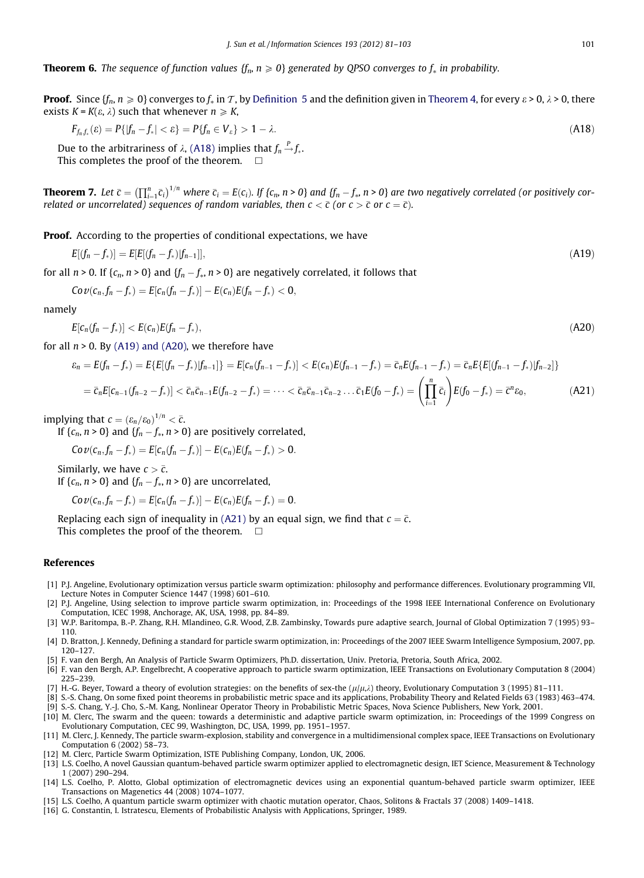<span id="page-20-0"></span>**Theorem 6.** The sequence of function values { $f_n$ ,  $n \ge 0$ } generated by QPSO converges to  $f_*$  in probability.

**Proof.** Since  $\{f_n, n \ge 0\}$  converges to  $f_*$  in  $\mathcal{T}$ , by [Definition 5](#page-5-0) and the definition given in [Theorem 4,](#page-6-0) for every  $\varepsilon > 0$ ,  $\lambda > 0$ , there exists  $K = K(\varepsilon, \lambda)$  such that whenever  $n \geq K$ ,

$$
F_{f_n, f_*}( \varepsilon ) = P\{ |f_n - f_*| < \varepsilon \} = P\{ f_n \in V_\varepsilon \} > 1 - \lambda. \tag{A18}
$$

Due to the arbitrariness of  $\lambda$ , (A18) implies that  $f_n {\mathop{\to }\limits^{P}} f_{\ast}.$ This completes the proof of the theorem.  $\Box$ 

**Theorem 7.** Let  $\bar{c} = (\prod_{i=1}^n \bar{c}_i)^{1/n}$  where  $\bar{c}_i = E(c_i)$ . If  $\{c_n, n > 0\}$  and  $\{f_n - f_*$ ,  $n > 0\}$  are two negatively correlated (or positively correlated or uncorrelated) sequences of random variables, then  $c < \bar c$  (or  $c > \bar c$  or  $c = \bar c$ ).

**Proof.** According to the properties of conditional expectations, we have

$$
E[(f_n - f_*)] = E[E[(f_n - f_*)|f_{n-1}]], \qquad (A19)
$$

for all  $n$  > 0. If { $c_n$ ,  $n$  > 0} and { $f_n$   $f_\ast$ ,  $n$  > 0} are negatively correlated, it follows that

 $Cov(c_n, f_n - f_*) = E[c_n(f_n - f_*)] - E(c_n)E(f_n - f_*) < 0,$ 

namely

$$
E[c_n(f_n - f_*)] < E(c_n)E(f_n - f_*),\tag{A20}
$$

for all  $n > 0$ . By (A19) and (A20), we therefore have

$$
\varepsilon_n = E(f_n - f_*) = E\{E[(f_n - f_*)|f_{n-1}]\} = E[c_n(f_{n-1} - f_*)] < E(c_n)E(f_{n-1} - f_*) = \bar{c}_nE(f_{n-1} - f_*) = \bar{c}_nE\{E[(f_{n-1} - f_*)|f_{n-2}]\}
$$
\n
$$
= \bar{c}_nE[c_{n-1}(f_{n-2} - f_*)] < \bar{c}_n\bar{c}_{n-1}E(f_{n-2} - f_*) = \cdots < \bar{c}_n\bar{c}_{n-1}\bar{c}_{n-2}\cdots\bar{c}_1E(f_0 - f_*) = \left(\prod_{i=1}^n \bar{c}_i\right)E(f_0 - f_*) = \bar{c}^n\varepsilon_0,\tag{A21}
$$

implying that  $c = (\varepsilon_n/\varepsilon_0)^{1/n} < \bar{c}$ .

If  $\{c_n, n > 0\}$  and  $\{f_n - f_*, n > 0\}$  are positively correlated,

$$
Cov(c_n, f_n - f_*) = E[c_n(f_n - f_*)] - E(c_n)E(f_n - f_*) > 0.
$$

Similarly, we have  $c > \bar{c}$ .

If  $\{c_n, n > 0\}$  and  $\{f_n - f_*, n > 0\}$  are uncorrelated,

$$
Cov(c_n,f_n-f_*)=E[c_n(f_n-f_*)]-E(c_n)E(f_n-f_*)=0.
$$

Replacing each sign of inequality in (A21) by an equal sign, we find that  $c=\bar c$ . This completes the proof of the theorem.  $\Box$ 

References

- [1] P.J. Angeline, Evolutionary optimization versus particle swarm optimization: philosophy and performance differences. Evolutionary programming VII, Lecture Notes in Computer Science 1447 (1998) 601–610.
- [2] P.J. Angeline, Using selection to improve particle swarm optimization, in: Proceedings of the 1998 IEEE International Conference on Evolutionary Computation, ICEC 1998, Anchorage, AK, USA, 1998, pp. 84–89.
- [3] W.P. Baritompa, B.-P. Zhang, R.H. Mlandineo, G.R. Wood, Z.B. Zambinsky, Towards pure adaptive search, Journal of Global Optimization 7 (1995) 93– 110.
- [4] D. Bratton, J. Kennedy, Defining a standard for particle swarm optimization, in: Proceedings of the 2007 IEEE Swarm Intelligence Symposium, 2007, pp. 120–127.
- [5] F. van den Bergh, An Analysis of Particle Swarm Optimizers, Ph.D. dissertation, Univ. Pretoria, Pretoria, South Africa, 2002.
- [6] F. van den Bergh, A.P. Engelbrecht, A cooperative approach to particle swarm optimization, IEEE Transactions on Evolutionary Computation 8 (2004) 225–239.
- [7] H.-G. Beyer, Toward a theory of evolution strategies: on the benefits of sex-the  $(\mu/\mu,\lambda)$  theory, Evolutionary Computation 3 (1995) 81-111.
- [8] S.-S. Chang, On some fixed point theorems in probabilistic metric space and its applications, Probability Theory and Related Fields 63 (1983) 463–474.
- [9] S.-S. Chang, Y.-J. Cho, S.-M. Kang, Nonlinear Operator Theory in Probabilistic Metric Spaces, Nova Science Publishers, New York, 2001. [10] M. Clerc, The swarm and the queen: towards a deterministic and adaptive particle swarm optimization, in: Proceedings of the 1999 Congress on
- Evolutionary Computation, CEC 99, Washington, DC, USA, 1999, pp. 1951–1957.
- [11] M. Clerc, J. Kennedy, The particle swarm-explosion, stability and convergence in a multidimensional complex space, IEEE Transactions on Evolutionary Computation 6 (2002) 58–73.
- [12] M. Clerc, Particle Swarm Optimization, ISTE Publishing Company, London, UK, 2006.
- [13] L.S. Coelho, A novel Gaussian quantum-behaved particle swarm optimizer applied to electromagnetic design, IET Science, Measurement & Technology 1 (2007) 290–294.
- [14] L.S. Coelho, P. Alotto, Global optimization of electromagnetic devices using an exponential quantum-behaved particle swarm optimizer, IEEE Transactions on Magenetics 44 (2008) 1074–1077.
- [15] L.S. Coelho, A quantum particle swarm optimizer with chaotic mutation operator, Chaos, Solitons & Fractals 37 (2008) 1409–1418.
- [16] G. Constantin, I. Istratescu, Elements of Probabilistic Analysis with Applications, Springer, 1989.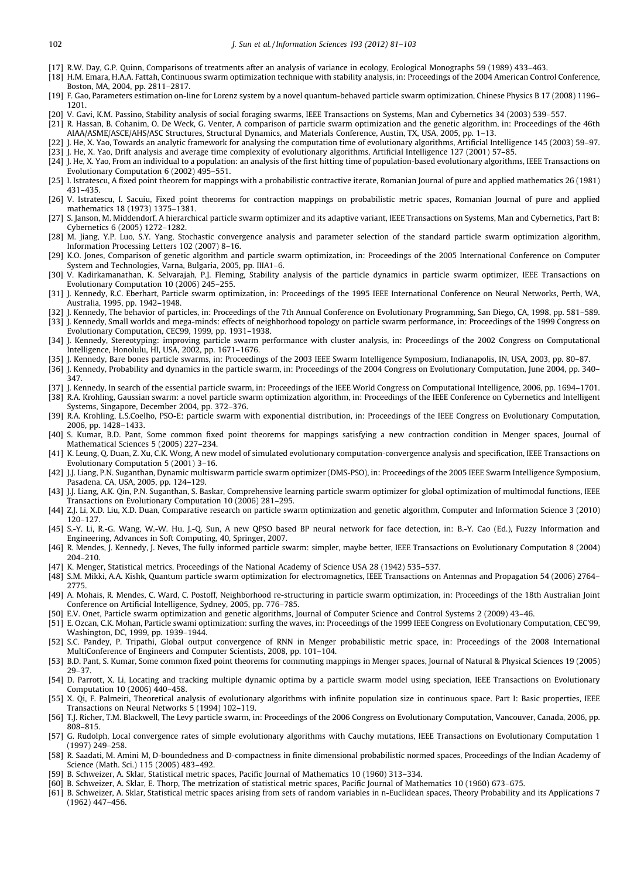- <span id="page-21-0"></span>[17] R.W. Day, G.P. Quinn, Comparisons of treatments after an analysis of variance in ecology, Ecological Monographs 59 (1989) 433–463.
- [18] H.M. Emara, H.A.A. Fattah, Continuous swarm optimization technique with stability analysis, in: Proceedings of the 2004 American Control Conference, Boston, MA, 2004, pp. 2811–2817.
- [19] F. Gao, Parameters estimation on-line for Lorenz system by a novel quantum-behaved particle swarm optimization, Chinese Physics B 17 (2008) 1196– 1201.
- [20] V. Gavi, K.M. Passino, Stability analysis of social foraging swarms, IEEE Transactions on Systems, Man and Cybernetics 34 (2003) 539–557.
- [21] R. Hassan, B. Cohanim, O. De Weck, G. Venter, A comparison of particle swarm optimization and the genetic algorithm, in: Proceedings of the 46th AIAA/ASME/ASCE/AHS/ASC Structures, Structural Dynamics, and Materials Conference, Austin, TX, USA, 2005, pp. 1–13.
- [22] J. He, X. Yao, Towards an analytic framework for analysing the computation time of evolutionary algorithms, Artificial Intelligence 145 (2003) 59-97.
- [23] J. He, X. Yao, Drift analysis and average time complexity of evolutionary algorithms, Artificial Intelligence 127 (2001) 57–85. [24] J. He, X. Yao, From an individual to a population: an analysis of the first hitting time of population-based evolutionary algorithms, IEEE Transactions on Evolutionary Computation 6 (2002) 495–551.
- [25] I. Istratescu, A fixed point theorem for mappings with a probabilistic contractive iterate, Romanian Journal of pure and applied mathematics 26 (1981) 431–435.
- [26] V. Istratescu, I. Sacuiu, Fixed point theorems for contraction mappings on probabilistic metric spaces, Romanian Journal of pure and applied mathematics 18 (1973) 1375–1381.
- [27] S. Janson, M. Middendorf, A hierarchical particle swarm optimizer and its adaptive variant, IEEE Transactions on Systems, Man and Cybernetics, Part B: Cybernetics 6 (2005) 1272–1282.
- [28] M. Jiang, Y.P. Luo, S.Y. Yang, Stochastic convergence analysis and parameter selection of the standard particle swarm optimization algorithm, Information Processing Letters 102 (2007) 8–16.
- [29] K.O. Jones, Comparison of genetic algorithm and particle swarm optimization, in: Proceedings of the 2005 International Conference on Computer System and Technologies, Varna, Bulgaria, 2005, pp. IIIA1–6.
- [30] V. Kadirkamanathan, K. Selvarajah, P.J. Fleming, Stability analysis of the particle dynamics in particle swarm optimizer, IEEE Transactions on Evolutionary Computation 10 (2006) 245–255.
- [31] J. Kennedy, R.C. Eberhart, Particle swarm optimization, in: Proceedings of the 1995 IEEE International Conference on Neural Networks, Perth, WA, Australia, 1995, pp. 1942–1948.
- [32] J. Kennedy, The behavior of particles, in: Proceedings of the 7th Annual Conference on Evolutionary Programming, San Diego, CA, 1998, pp. 581–589.
- [33] J. Kennedy, Small worlds and mega-minds: effects of neighborhood topology on particle swarm performance, in: Proceedings of the 1999 Congress on Evolutionary Computation, CEC99, 1999, pp. 1931–1938.
- [34] J. Kennedy, Stereotyping: improving particle swarm performance with cluster analysis, in: Proceedings of the 2002 Congress on Computational Intelligence, Honolulu, HI, USA, 2002, pp. 1671–1676.
- [35] J. Kennedy, Bare bones particle swarms, in: Proceedings of the 2003 IEEE Swarm Intelligence Symposium, Indianapolis, IN, USA, 2003, pp. 80–87.
- [36] J. Kennedy, Probability and dynamics in the particle swarm, in: Proceedings of the 2004 Congress on Evolutionary Computation, June 2004, pp. 340– 347.
- [37] J. Kennedy, In search of the essential particle swarm, in: Proceedings of the IEEE World Congress on Computational Intelligence, 2006, pp. 1694–1701. [38] R.A. Krohling, Gaussian swarm: a novel particle swarm optimization algorithm, in: Proceedings of the IEEE Conference on Cybernetics and Intelligent
- Systems, Singapore, December 2004, pp. 372–376. [39] R.A. Krohling, L.S.Coelho, PSO-E: particle swarm with exponential distribution, in: Proceedings of the IEEE Congress on Evolutionary Computation, 2006, pp. 1428–1433.
- [40] S. Kumar, B.D. Pant, Some common fixed point theorems for mappings satisfying a new contraction condition in Menger spaces, Journal of Mathematical Sciences 5 (2005) 227–234.
- [41] K. Leung, Q. Duan, Z. Xu, C.K. Wong, A new model of simulated evolutionary computation-convergence analysis and specification, IEEE Transactions on Evolutionary Computation 5 (2001) 3–16.
- [42] J.J. Liang, P.N. Suganthan, Dynamic multiswarm particle swarm optimizer (DMS-PSO), in: Proceedings of the 2005 IEEE Swarm Intelligence Symposium, Pasadena, CA, USA, 2005, pp. 124–129.
- [43] J.J. Liang, A.K. Qin, P.N. Suganthan, S. Baskar, Comprehensive learning particle swarm optimizer for global optimization of multimodal functions, IEEE Transactions on Evolutionary Computation 10 (2006) 281–295.
- [44] Z.J. Li, X.D. Liu, X.D. Duan, Comparative research on particle swarm optimization and genetic algorithm, Computer and Information Science 3 (2010) 120–127.
- [45] S.-Y. Li, R.-G. Wang, W.-W. Hu, J.-Q. Sun, A new QPSO based BP neural network for face detection, in: B.-Y. Cao (Ed.), Fuzzy Information and Engineering, Advances in Soft Computing, 40, Springer, 2007.
- [46] R. Mendes, J. Kennedy, J. Neves, The fully informed particle swarm: simpler, maybe better, IEEE Transactions on Evolutionary Computation 8 (2004) 204–210.
- [47] K. Menger, Statistical metrics, Proceedings of the National Academy of Science USA 28 (1942) 535–537.
- [48] S.M. Mikki, A.A. Kishk, Quantum particle swarm optimization for electromagnetics, IEEE Transactions on Antennas and Propagation 54 (2006) 2764– 2775.
- [49] A. Mohais, R. Mendes, C. Ward, C. Postoff, Neighborhood re-structuring in particle swarm optimization, in: Proceedings of the 18th Australian Joint Conference on Artificial Intelligence, Sydney, 2005, pp. 776–785.
- [50] E.V. Onet, Particle swarm optimization and genetic algorithms, Journal of Computer Science and Control Systems 2 (2009) 43–46.
- [51] E. Ozcan, C.K. Mohan, Particle swami optimization: surfing the waves, in: Proceedings of the 1999 IEEE Congress on Evolutionary Computation, CEC'99, Washington, DC, 1999, pp. 1939–1944.
- [52] S.C. Pandey, P. Tripathi, Global output convergence of RNN in Menger probabilistic metric space, in: Proceedings of the 2008 International MultiConference of Engineers and Computer Scientists, 2008, pp. 101–104.
- [53] B.D. Pant, S. Kumar, Some common fixed point theorems for commuting mappings in Menger spaces, Journal of Natural & Physical Sciences 19 (2005) 29–37.
- [54] D. Parrott, X. Li, Locating and tracking multiple dynamic optima by a particle swarm model using speciation, IEEE Transactions on Evolutionary Computation 10 (2006) 440–458.
- [55] X. Qi, F. Palmeiri, Theoretical analysis of evolutionary algorithms with infinite population size in continuous space. Part I: Basic properties, IEEE Transactions on Neural Networks 5 (1994) 102–119.
- [56] T.J. Richer, T.M. Blackwell, The Levy particle swarm, in: Proceedings of the 2006 Congress on Evolutionary Computation, Vancouver, Canada, 2006, pp. 808–815.
- [57] G. Rudolph, Local convergence rates of simple evolutionary algorithms with Cauchy mutations, IEEE Transactions on Evolutionary Computation 1 (1997) 249–258.
- [58] R. Saadati, M. Amini M, D-boundedness and D-compactness in finite dimensional probabilistic normed spaces, Proceedings of the Indian Academy of Science (Math. Sci.) 115 (2005) 483–492.
- [59] B. Schweizer, A. Sklar, Statistical metric spaces, Pacific Journal of Mathematics 10 (1960) 313–334.
- [60] B. Schweizer, A. Sklar, E. Thorp, The metrization of statistical metric spaces, Pacific Journal of Mathematics 10 (1960) 673–675.
- [61] B. Schweizer, A. Sklar, Statistical metric spaces arising from sets of random variables in n-Euclidean spaces, Theory Probability and its Applications 7 (1962) 447–456.